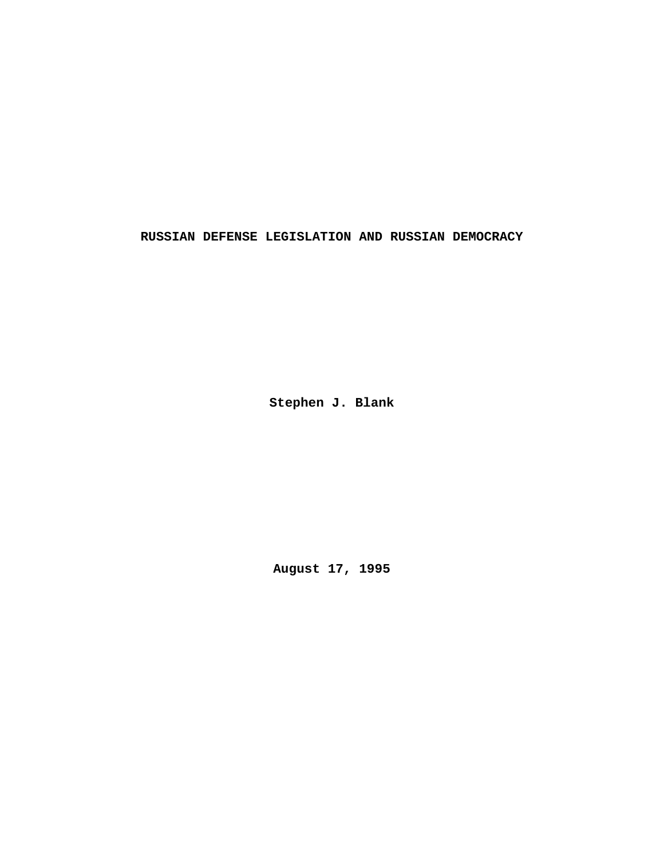**RUSSIAN DEFENSE LEGISLATION AND RUSSIAN DEMOCRACY**

**Stephen J. Blank**

**August 17, 1995**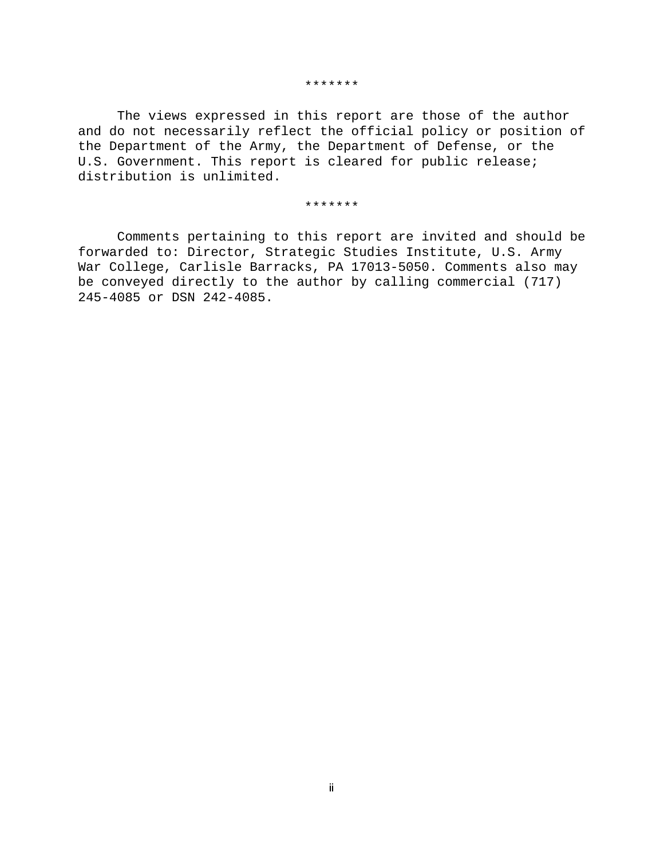#### \*\*\*\*\*\*\*

The views expressed in this report are those of the author and do not necessarily reflect the official policy or position of the Department of the Army, the Department of Defense, or the U.S. Government. This report is cleared for public release; distribution is unlimited.

#### \*\*\*\*\*\*\*

Comments pertaining to this report are invited and should be forwarded to: Director, Strategic Studies Institute, U.S. Army War College, Carlisle Barracks, PA 17013-5050. Comments also may be conveyed directly to the author by calling commercial (717) 245-4085 or DSN 242-4085.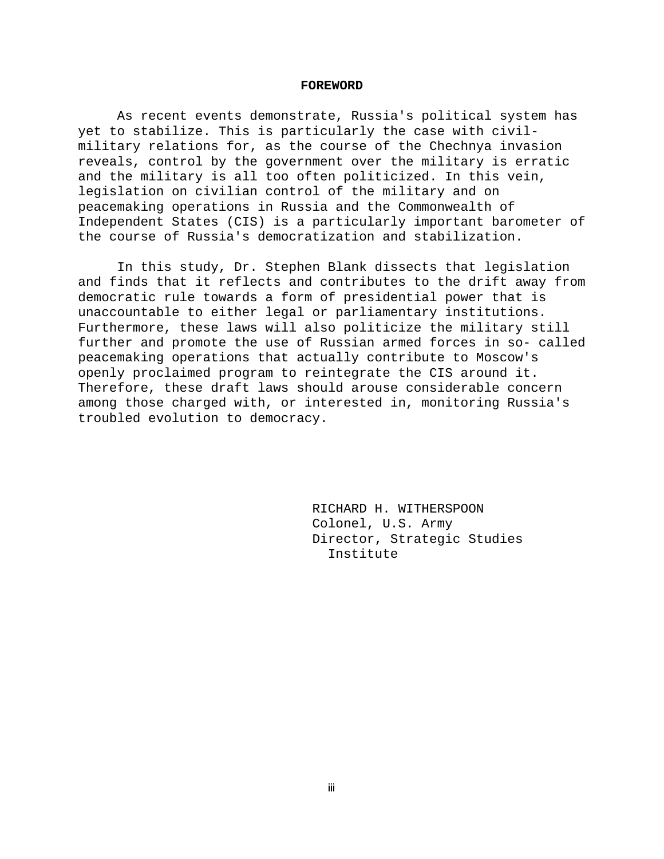#### **FOREWORD**

As recent events demonstrate, Russia's political system has yet to stabilize. This is particularly the case with civilmilitary relations for, as the course of the Chechnya invasion reveals, control by the government over the military is erratic and the military is all too often politicized. In this vein, legislation on civilian control of the military and on peacemaking operations in Russia and the Commonwealth of Independent States (CIS) is a particularly important barometer of the course of Russia's democratization and stabilization.

In this study, Dr. Stephen Blank dissects that legislation and finds that it reflects and contributes to the drift away from democratic rule towards a form of presidential power that is unaccountable to either legal or parliamentary institutions. Furthermore, these laws will also politicize the military still further and promote the use of Russian armed forces in so- called peacemaking operations that actually contribute to Moscow's openly proclaimed program to reintegrate the CIS around it. Therefore, these draft laws should arouse considerable concern among those charged with, or interested in, monitoring Russia's troubled evolution to democracy.

> RICHARD H. WITHERSPOON Colonel, U.S. Army Director, Strategic Studies Institute

**Lill**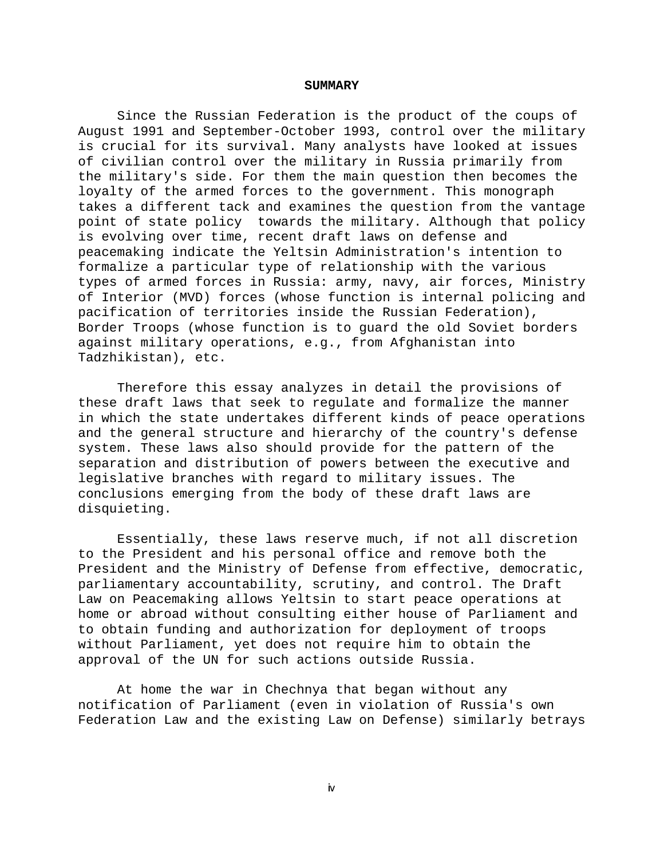#### **SUMMARY**

Since the Russian Federation is the product of the coups of August 1991 and September-October 1993, control over the military is crucial for its survival. Many analysts have looked at issues of civilian control over the military in Russia primarily from the military's side. For them the main question then becomes the loyalty of the armed forces to the government. This monograph takes a different tack and examines the question from the vantage point of state policy towards the military. Although that policy is evolving over time, recent draft laws on defense and peacemaking indicate the Yeltsin Administration's intention to formalize a particular type of relationship with the various types of armed forces in Russia: army, navy, air forces, Ministry of Interior (MVD) forces (whose function is internal policing and pacification of territories inside the Russian Federation), Border Troops (whose function is to guard the old Soviet borders against military operations, e.g., from Afghanistan into Tadzhikistan), etc.

Therefore this essay analyzes in detail the provisions of these draft laws that seek to regulate and formalize the manner in which the state undertakes different kinds of peace operations and the general structure and hierarchy of the country's defense system. These laws also should provide for the pattern of the separation and distribution of powers between the executive and legislative branches with regard to military issues. The conclusions emerging from the body of these draft laws are disquieting.

Essentially, these laws reserve much, if not all discretion to the President and his personal office and remove both the President and the Ministry of Defense from effective, democratic, parliamentary accountability, scrutiny, and control. The Draft Law on Peacemaking allows Yeltsin to start peace operations at home or abroad without consulting either house of Parliament and to obtain funding and authorization for deployment of troops without Parliament, yet does not require him to obtain the approval of the UN for such actions outside Russia.

At home the war in Chechnya that began without any notification of Parliament (even in violation of Russia's own Federation Law and the existing Law on Defense) similarly betrays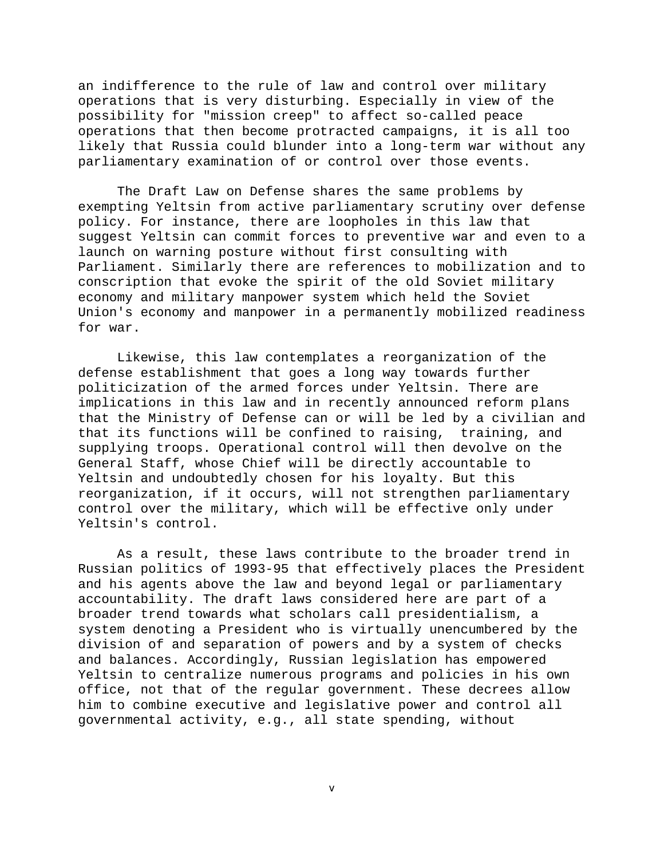an indifference to the rule of law and control over military operations that is very disturbing. Especially in view of the possibility for "mission creep" to affect so-called peace operations that then become protracted campaigns, it is all too likely that Russia could blunder into a long-term war without any parliamentary examination of or control over those events.

The Draft Law on Defense shares the same problems by exempting Yeltsin from active parliamentary scrutiny over defense policy. For instance, there are loopholes in this law that suggest Yeltsin can commit forces to preventive war and even to a launch on warning posture without first consulting with Parliament. Similarly there are references to mobilization and to conscription that evoke the spirit of the old Soviet military economy and military manpower system which held the Soviet Union's economy and manpower in a permanently mobilized readiness for war.

Likewise, this law contemplates a reorganization of the defense establishment that goes a long way towards further politicization of the armed forces under Yeltsin. There are implications in this law and in recently announced reform plans that the Ministry of Defense can or will be led by a civilian and that its functions will be confined to raising, training, and supplying troops. Operational control will then devolve on the General Staff, whose Chief will be directly accountable to Yeltsin and undoubtedly chosen for his loyalty. But this reorganization, if it occurs, will not strengthen parliamentary control over the military, which will be effective only under Yeltsin's control.

As a result, these laws contribute to the broader trend in Russian politics of 1993-95 that effectively places the President and his agents above the law and beyond legal or parliamentary accountability. The draft laws considered here are part of a broader trend towards what scholars call presidentialism, a system denoting a President who is virtually unencumbered by the division of and separation of powers and by a system of checks and balances. Accordingly, Russian legislation has empowered Yeltsin to centralize numerous programs and policies in his own office, not that of the regular government. These decrees allow him to combine executive and legislative power and control all governmental activity, e.g., all state spending, without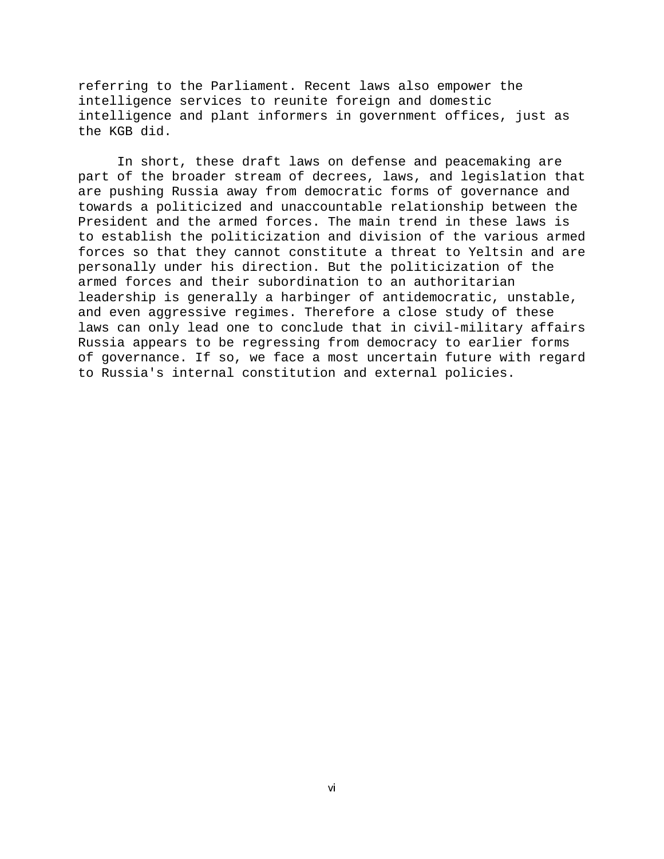referring to the Parliament. Recent laws also empower the intelligence services to reunite foreign and domestic intelligence and plant informers in government offices, just as the KGB did.

In short, these draft laws on defense and peacemaking are part of the broader stream of decrees, laws, and legislation that are pushing Russia away from democratic forms of governance and towards a politicized and unaccountable relationship between the President and the armed forces. The main trend in these laws is to establish the politicization and division of the various armed forces so that they cannot constitute a threat to Yeltsin and are personally under his direction. But the politicization of the armed forces and their subordination to an authoritarian leadership is generally a harbinger of antidemocratic, unstable, and even aggressive regimes. Therefore a close study of these laws can only lead one to conclude that in civil-military affairs Russia appears to be regressing from democracy to earlier forms of governance. If so, we face a most uncertain future with regard to Russia's internal constitution and external policies.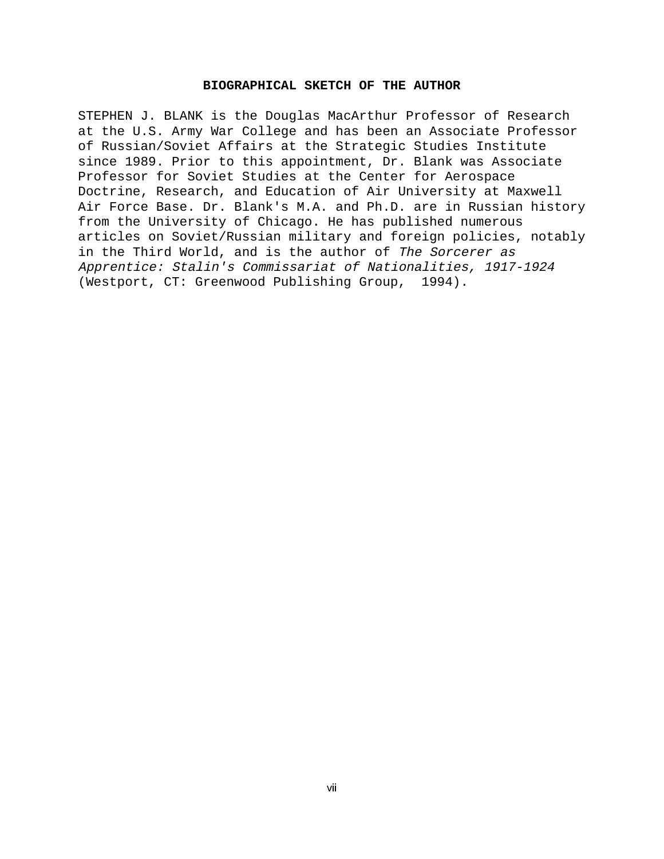### **BIOGRAPHICAL SKETCH OF THE AUTHOR**

STEPHEN J. BLANK is the Douglas MacArthur Professor of Research at the U.S. Army War College and has been an Associate Professor of Russian/Soviet Affairs at the Strategic Studies Institute since 1989. Prior to this appointment, Dr. Blank was Associate Professor for Soviet Studies at the Center for Aerospace Doctrine, Research, and Education of Air University at Maxwell Air Force Base. Dr. Blank's M.A. and Ph.D. are in Russian history from the University of Chicago. He has published numerous articles on Soviet/Russian military and foreign policies, notably in the Third World, and is the author of The Sorcerer as Apprentice: Stalin's Commissariat of Nationalities, 1917-1924 (Westport, CT: Greenwood Publishing Group, 1994).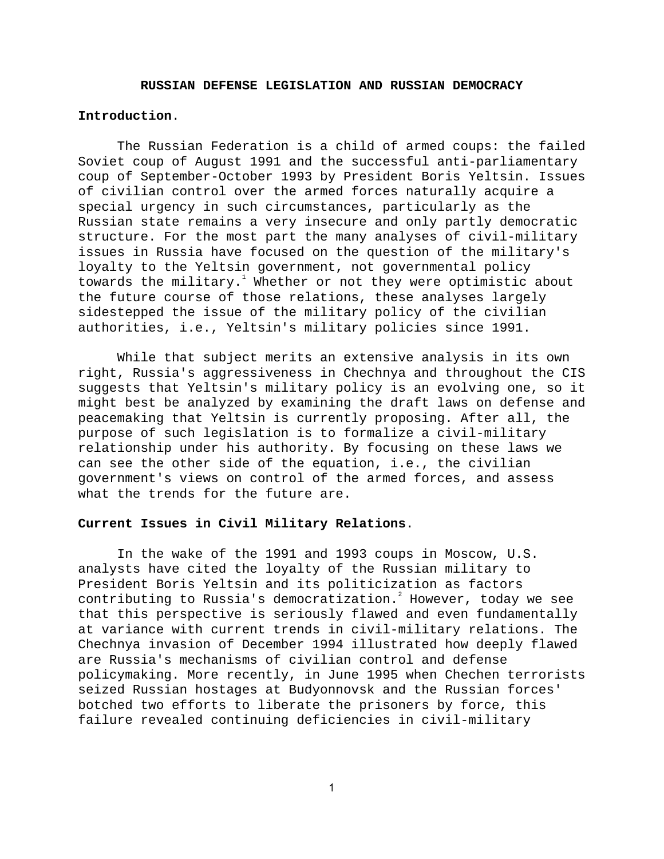### **RUSSIAN DEFENSE LEGISLATION AND RUSSIAN DEMOCRACY**

## **Introduction**.

The Russian Federation is a child of armed coups: the failed Soviet coup of August 1991 and the successful anti-parliamentary coup of September-October 1993 by President Boris Yeltsin. Issues of civilian control over the armed forces naturally acquire a special urgency in such circumstances, particularly as the Russian state remains a very insecure and only partly democratic structure. For the most part the many analyses of civil-military issues in Russia have focused on the question of the military's loyalty to the Yeltsin government, not governmental policy towards the military. $^1$  Whether or not they were optimistic about the future course of those relations, these analyses largely sidestepped the issue of the military policy of the civilian authorities, i.e., Yeltsin's military policies since 1991.

While that subject merits an extensive analysis in its own right, Russia's aggressiveness in Chechnya and throughout the CIS suggests that Yeltsin's military policy is an evolving one, so it might best be analyzed by examining the draft laws on defense and peacemaking that Yeltsin is currently proposing. After all, the purpose of such legislation is to formalize a civil-military relationship under his authority. By focusing on these laws we can see the other side of the equation, i.e., the civilian government's views on control of the armed forces, and assess what the trends for the future are.

### **Current Issues in Civil Military Relations**.

In the wake of the 1991 and 1993 coups in Moscow, U.S. analysts have cited the loyalty of the Russian military to President Boris Yeltsin and its politicization as factors contributing to Russia's democratization. $^{2}$  However, today we see that this perspective is seriously flawed and even fundamentally at variance with current trends in civil-military relations. The Chechnya invasion of December 1994 illustrated how deeply flawed are Russia's mechanisms of civilian control and defense policymaking. More recently, in June 1995 when Chechen terrorists seized Russian hostages at Budyonnovsk and the Russian forces' botched two efforts to liberate the prisoners by force, this failure revealed continuing deficiencies in civil-military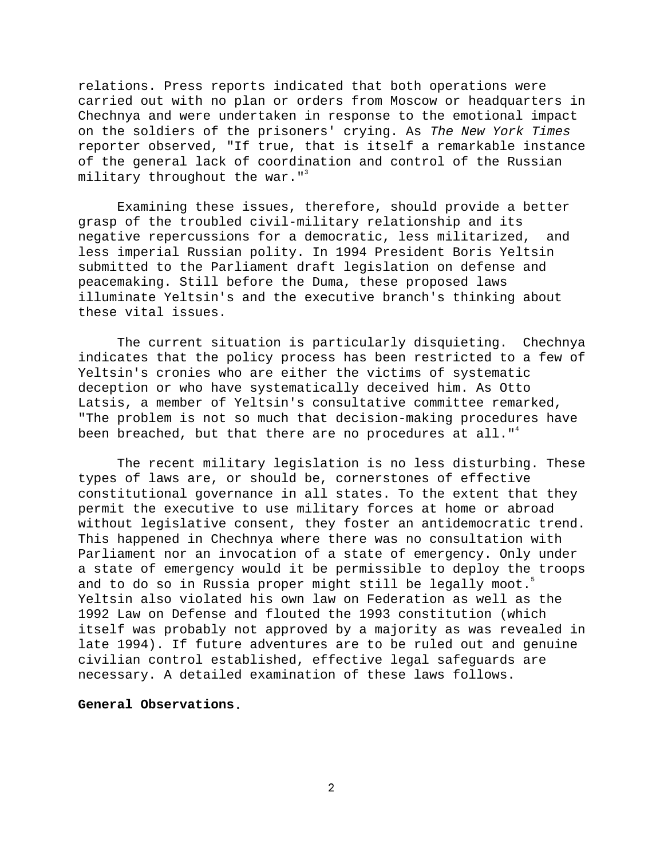relations. Press reports indicated that both operations were carried out with no plan or orders from Moscow or headquarters in Chechnya and were undertaken in response to the emotional impact on the soldiers of the prisoners' crying. As The New York Times reporter observed, "If true, that is itself a remarkable instance of the general lack of coordination and control of the Russian military throughout the war."<sup>3</sup>

Examining these issues, therefore, should provide a better grasp of the troubled civil-military relationship and its negative repercussions for a democratic, less militarized, and less imperial Russian polity. In 1994 President Boris Yeltsin submitted to the Parliament draft legislation on defense and peacemaking. Still before the Duma, these proposed laws illuminate Yeltsin's and the executive branch's thinking about these vital issues.

The current situation is particularly disquieting. Chechnya indicates that the policy process has been restricted to a few of Yeltsin's cronies who are either the victims of systematic deception or who have systematically deceived him. As Otto Latsis, a member of Yeltsin's consultative committee remarked, "The problem is not so much that decision-making procedures have been breached, but that there are no procedures at all." $4$ 

The recent military legislation is no less disturbing. These types of laws are, or should be, cornerstones of effective constitutional governance in all states. To the extent that they permit the executive to use military forces at home or abroad without legislative consent, they foster an antidemocratic trend. This happened in Chechnya where there was no consultation with Parliament nor an invocation of a state of emergency. Only under a state of emergency would it be permissible to deploy the troops and to do so in Russia proper might still be legally moot.<sup>5</sup> Yeltsin also violated his own law on Federation as well as the 1992 Law on Defense and flouted the 1993 constitution (which itself was probably not approved by a majority as was revealed in late 1994). If future adventures are to be ruled out and genuine civilian control established, effective legal safeguards are necessary. A detailed examination of these laws follows.

## **General Observations**.

 $\overline{2}$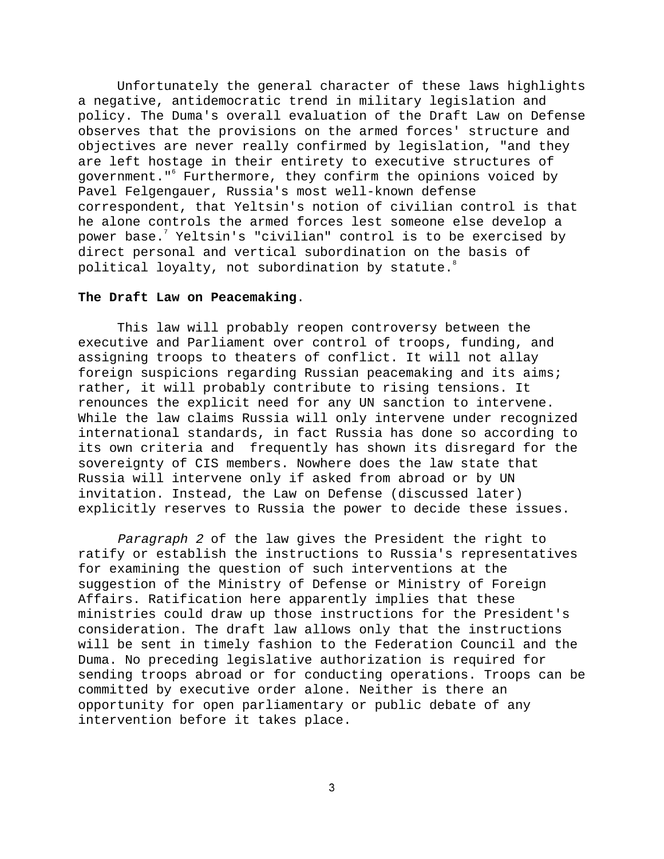Unfortunately the general character of these laws highlights a negative, antidemocratic trend in military legislation and policy. The Duma's overall evaluation of the Draft Law on Defense observes that the provisions on the armed forces' structure and objectives are never really confirmed by legislation, "and they are left hostage in their entirety to executive structures of government."6 Furthermore, they confirm the opinions voiced by Pavel Felgengauer, Russia's most well-known defense correspondent, that Yeltsin's notion of civilian control is that he alone controls the armed forces lest someone else develop a power base. $^7$  Yeltsin's "civilian" control is to be exercised by direct personal and vertical subordination on the basis of political loyalty, not subordination by statute.<sup>8</sup>

## **The Draft Law on Peacemaking**.

This law will probably reopen controversy between the executive and Parliament over control of troops, funding, and assigning troops to theaters of conflict. It will not allay foreign suspicions regarding Russian peacemaking and its aims; rather, it will probably contribute to rising tensions. It renounces the explicit need for any UN sanction to intervene. While the law claims Russia will only intervene under recognized international standards, in fact Russia has done so according to its own criteria and frequently has shown its disregard for the sovereignty of CIS members. Nowhere does the law state that Russia will intervene only if asked from abroad or by UN invitation. Instead, the Law on Defense (discussed later) explicitly reserves to Russia the power to decide these issues.

Paragraph 2 of the law gives the President the right to ratify or establish the instructions to Russia's representatives for examining the question of such interventions at the suggestion of the Ministry of Defense or Ministry of Foreign Affairs. Ratification here apparently implies that these ministries could draw up those instructions for the President's consideration. The draft law allows only that the instructions will be sent in timely fashion to the Federation Council and the Duma. No preceding legislative authorization is required for sending troops abroad or for conducting operations. Troops can be committed by executive order alone. Neither is there an opportunity for open parliamentary or public debate of any intervention before it takes place.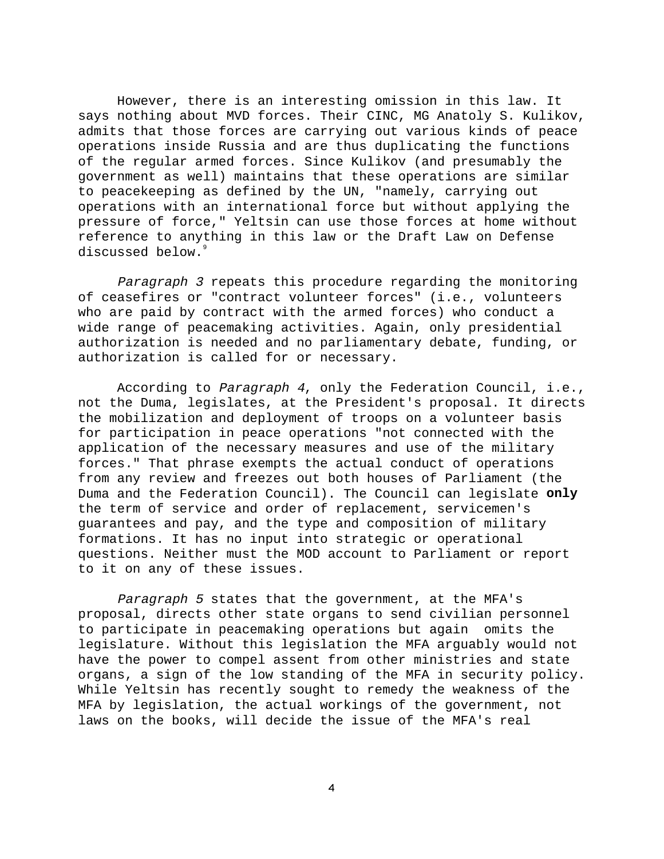However, there is an interesting omission in this law. It says nothing about MVD forces. Their CINC, MG Anatoly S. Kulikov, admits that those forces are carrying out various kinds of peace operations inside Russia and are thus duplicating the functions of the regular armed forces. Since Kulikov (and presumably the government as well) maintains that these operations are similar to peacekeeping as defined by the UN, "namely, carrying out operations with an international force but without applying the pressure of force," Yeltsin can use those forces at home without reference to anything in this law or the Draft Law on Defense discussed below.<sup>9</sup>

Paragraph 3 repeats this procedure regarding the monitoring of ceasefires or "contract volunteer forces" (i.e., volunteers who are paid by contract with the armed forces) who conduct a wide range of peacemaking activities. Again, only presidential authorization is needed and no parliamentary debate, funding, or authorization is called for or necessary.

According to Paragraph 4, only the Federation Council, i.e., not the Duma, legislates, at the President's proposal. It directs the mobilization and deployment of troops on a volunteer basis for participation in peace operations "not connected with the application of the necessary measures and use of the military forces." That phrase exempts the actual conduct of operations from any review and freezes out both houses of Parliament (the Duma and the Federation Council). The Council can legislate **only** the term of service and order of replacement, servicemen's guarantees and pay, and the type and composition of military formations. It has no input into strategic or operational questions. Neither must the MOD account to Parliament or report to it on any of these issues.

Paragraph 5 states that the government, at the MFA's proposal, directs other state organs to send civilian personnel to participate in peacemaking operations but again omits the legislature. Without this legislation the MFA arguably would not have the power to compel assent from other ministries and state organs, a sign of the low standing of the MFA in security policy. While Yeltsin has recently sought to remedy the weakness of the MFA by legislation, the actual workings of the government, not laws on the books, will decide the issue of the MFA's real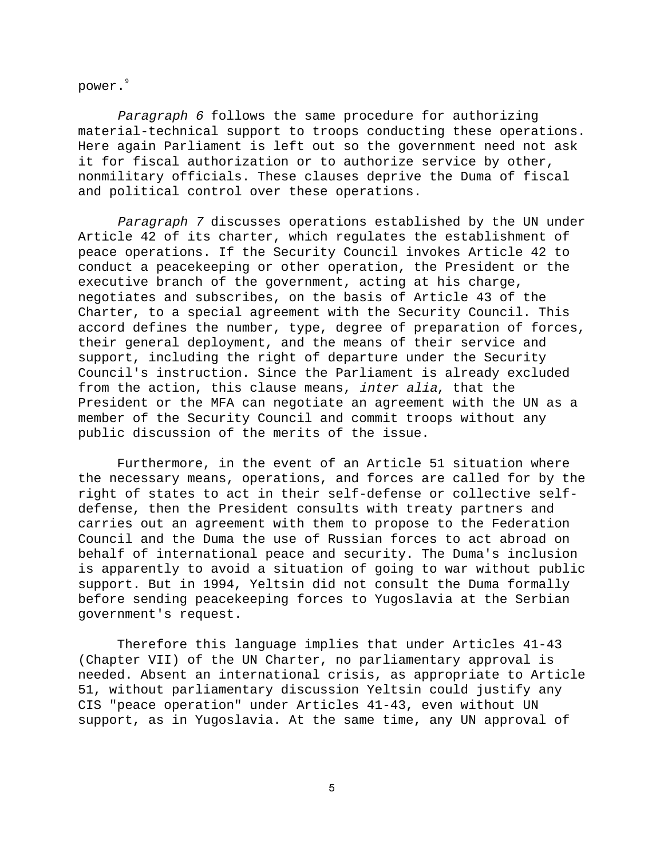power.<sup>9</sup>

Paragraph 6 follows the same procedure for authorizing material-technical support to troops conducting these operations. Here again Parliament is left out so the government need not ask it for fiscal authorization or to authorize service by other, nonmilitary officials. These clauses deprive the Duma of fiscal and political control over these operations.

Paragraph 7 discusses operations established by the UN under Article 42 of its charter, which regulates the establishment of peace operations. If the Security Council invokes Article 42 to conduct a peacekeeping or other operation, the President or the executive branch of the government, acting at his charge, negotiates and subscribes, on the basis of Article 43 of the Charter, to a special agreement with the Security Council. This accord defines the number, type, degree of preparation of forces, their general deployment, and the means of their service and support, including the right of departure under the Security Council's instruction. Since the Parliament is already excluded from the action, this clause means, inter alia, that the President or the MFA can negotiate an agreement with the UN as a member of the Security Council and commit troops without any public discussion of the merits of the issue.

Furthermore, in the event of an Article 51 situation where the necessary means, operations, and forces are called for by the right of states to act in their self-defense or collective selfdefense, then the President consults with treaty partners and carries out an agreement with them to propose to the Federation Council and the Duma the use of Russian forces to act abroad on behalf of international peace and security. The Duma's inclusion is apparently to avoid a situation of going to war without public support. But in 1994, Yeltsin did not consult the Duma formally before sending peacekeeping forces to Yugoslavia at the Serbian government's request.

Therefore this language implies that under Articles 41-43 (Chapter VII) of the UN Charter, no parliamentary approval is needed. Absent an international crisis, as appropriate to Article 51, without parliamentary discussion Yeltsin could justify any CIS "peace operation" under Articles 41-43, even without UN support, as in Yugoslavia. At the same time, any UN approval of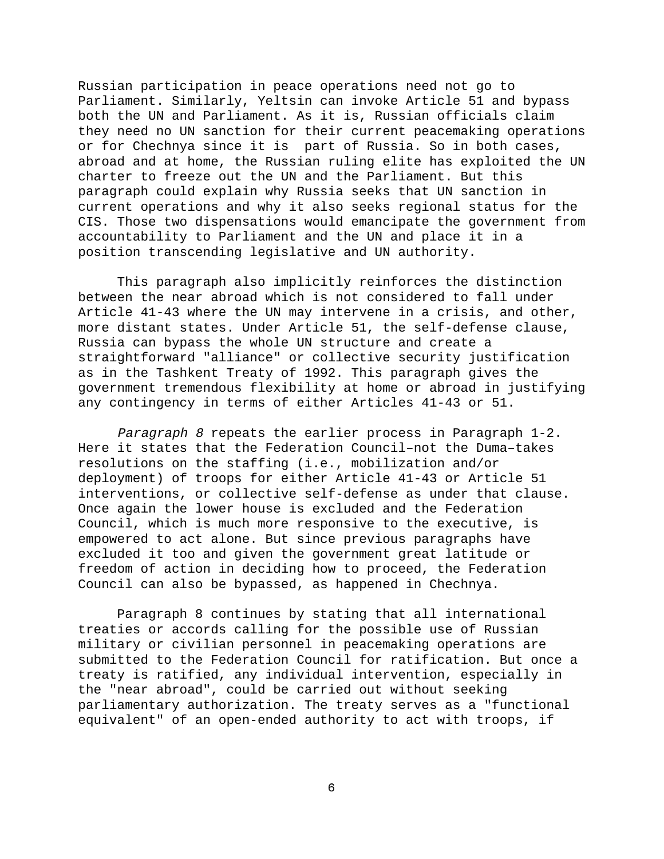Russian participation in peace operations need not go to Parliament. Similarly, Yeltsin can invoke Article 51 and bypass both the UN and Parliament. As it is, Russian officials claim they need no UN sanction for their current peacemaking operations or for Chechnya since it is part of Russia. So in both cases, abroad and at home, the Russian ruling elite has exploited the UN charter to freeze out the UN and the Parliament. But this paragraph could explain why Russia seeks that UN sanction in current operations and why it also seeks regional status for the CIS. Those two dispensations would emancipate the government from accountability to Parliament and the UN and place it in a position transcending legislative and UN authority.

This paragraph also implicitly reinforces the distinction between the near abroad which is not considered to fall under Article 41-43 where the UN may intervene in a crisis, and other, more distant states. Under Article 51, the self-defense clause, Russia can bypass the whole UN structure and create a straightforward "alliance" or collective security justification as in the Tashkent Treaty of 1992. This paragraph gives the government tremendous flexibility at home or abroad in justifying any contingency in terms of either Articles 41-43 or 51.

Paragraph 8 repeats the earlier process in Paragraph 1-2. Here it states that the Federation Council–not the Duma–takes resolutions on the staffing (i.e., mobilization and/or deployment) of troops for either Article 41-43 or Article 51 interventions, or collective self-defense as under that clause. Once again the lower house is excluded and the Federation Council, which is much more responsive to the executive, is empowered to act alone. But since previous paragraphs have excluded it too and given the government great latitude or freedom of action in deciding how to proceed, the Federation Council can also be bypassed, as happened in Chechnya.

Paragraph 8 continues by stating that all international treaties or accords calling for the possible use of Russian military or civilian personnel in peacemaking operations are submitted to the Federation Council for ratification. But once a treaty is ratified, any individual intervention, especially in the "near abroad", could be carried out without seeking parliamentary authorization. The treaty serves as a "functional equivalent" of an open-ended authority to act with troops, if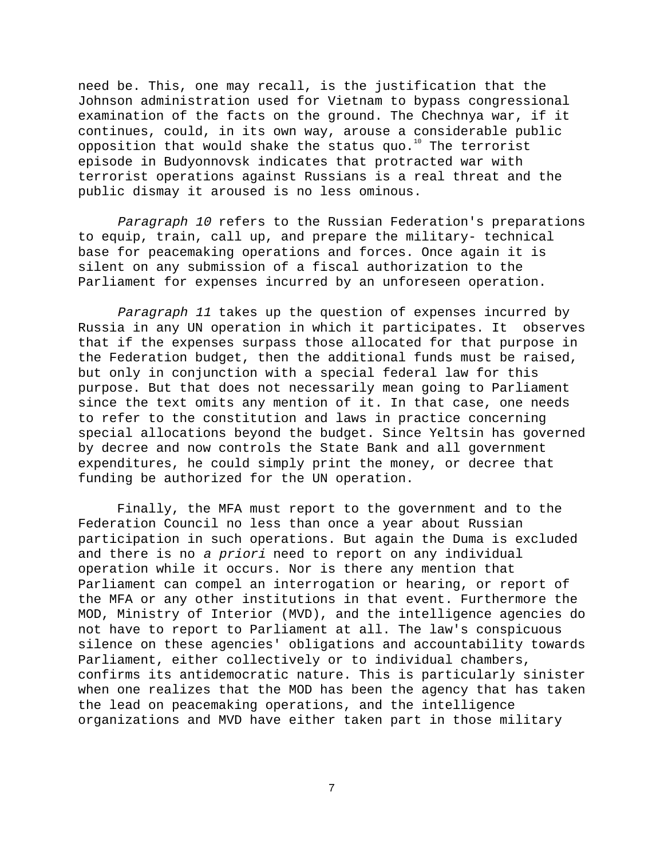need be. This, one may recall, is the justification that the Johnson administration used for Vietnam to bypass congressional examination of the facts on the ground. The Chechnya war, if it continues, could, in its own way, arouse a considerable public opposition that would shake the status quo.<sup>10</sup> The terrorist episode in Budyonnovsk indicates that protracted war with terrorist operations against Russians is a real threat and the public dismay it aroused is no less ominous.

Paragraph 10 refers to the Russian Federation's preparations to equip, train, call up, and prepare the military- technical base for peacemaking operations and forces. Once again it is silent on any submission of a fiscal authorization to the Parliament for expenses incurred by an unforeseen operation.

Paragraph 11 takes up the question of expenses incurred by Russia in any UN operation in which it participates. It observes that if the expenses surpass those allocated for that purpose in the Federation budget, then the additional funds must be raised, but only in conjunction with a special federal law for this purpose. But that does not necessarily mean going to Parliament since the text omits any mention of it. In that case, one needs to refer to the constitution and laws in practice concerning special allocations beyond the budget. Since Yeltsin has governed by decree and now controls the State Bank and all government expenditures, he could simply print the money, or decree that funding be authorized for the UN operation.

Finally, the MFA must report to the government and to the Federation Council no less than once a year about Russian participation in such operations. But again the Duma is excluded and there is no a priori need to report on any individual operation while it occurs. Nor is there any mention that Parliament can compel an interrogation or hearing, or report of the MFA or any other institutions in that event. Furthermore the MOD, Ministry of Interior (MVD), and the intelligence agencies do not have to report to Parliament at all. The law's conspicuous silence on these agencies' obligations and accountability towards Parliament, either collectively or to individual chambers, confirms its antidemocratic nature. This is particularly sinister when one realizes that the MOD has been the agency that has taken the lead on peacemaking operations, and the intelligence organizations and MVD have either taken part in those military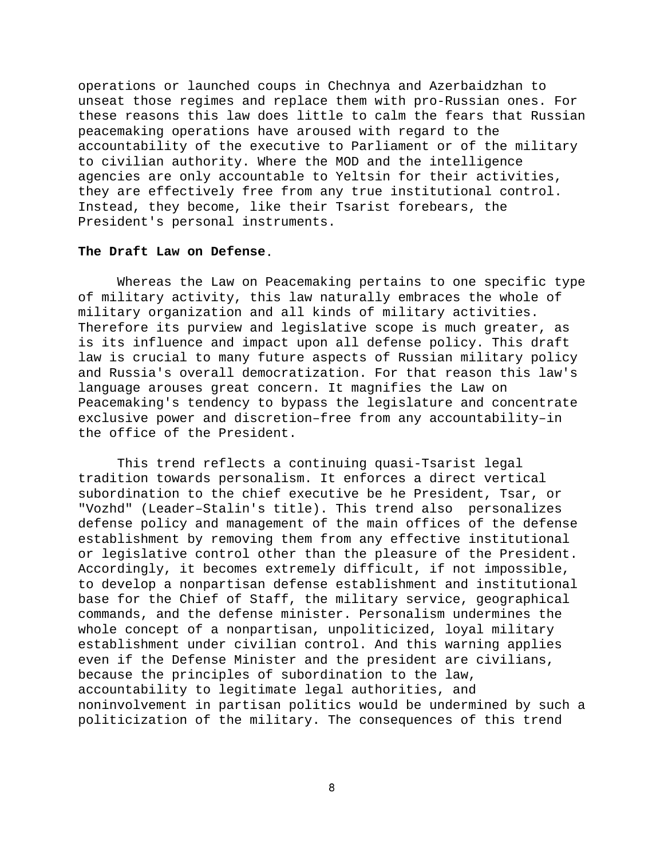operations or launched coups in Chechnya and Azerbaidzhan to unseat those regimes and replace them with pro-Russian ones. For these reasons this law does little to calm the fears that Russian peacemaking operations have aroused with regard to the accountability of the executive to Parliament or of the military to civilian authority. Where the MOD and the intelligence agencies are only accountable to Yeltsin for their activities, they are effectively free from any true institutional control. Instead, they become, like their Tsarist forebears, the President's personal instruments.

## **The Draft Law on Defense**.

Whereas the Law on Peacemaking pertains to one specific type of military activity, this law naturally embraces the whole of military organization and all kinds of military activities. Therefore its purview and legislative scope is much greater, as is its influence and impact upon all defense policy. This draft law is crucial to many future aspects of Russian military policy and Russia's overall democratization. For that reason this law's language arouses great concern. It magnifies the Law on Peacemaking's tendency to bypass the legislature and concentrate exclusive power and discretion–free from any accountability–in the office of the President.

This trend reflects a continuing quasi-Tsarist legal tradition towards personalism. It enforces a direct vertical subordination to the chief executive be he President, Tsar, or "Vozhd" (Leader–Stalin's title). This trend also personalizes defense policy and management of the main offices of the defense establishment by removing them from any effective institutional or legislative control other than the pleasure of the President. Accordingly, it becomes extremely difficult, if not impossible, to develop a nonpartisan defense establishment and institutional base for the Chief of Staff, the military service, geographical commands, and the defense minister. Personalism undermines the whole concept of a nonpartisan, unpoliticized, loyal military establishment under civilian control. And this warning applies even if the Defense Minister and the president are civilians, because the principles of subordination to the law, accountability to legitimate legal authorities, and noninvolvement in partisan politics would be undermined by such a politicization of the military. The consequences of this trend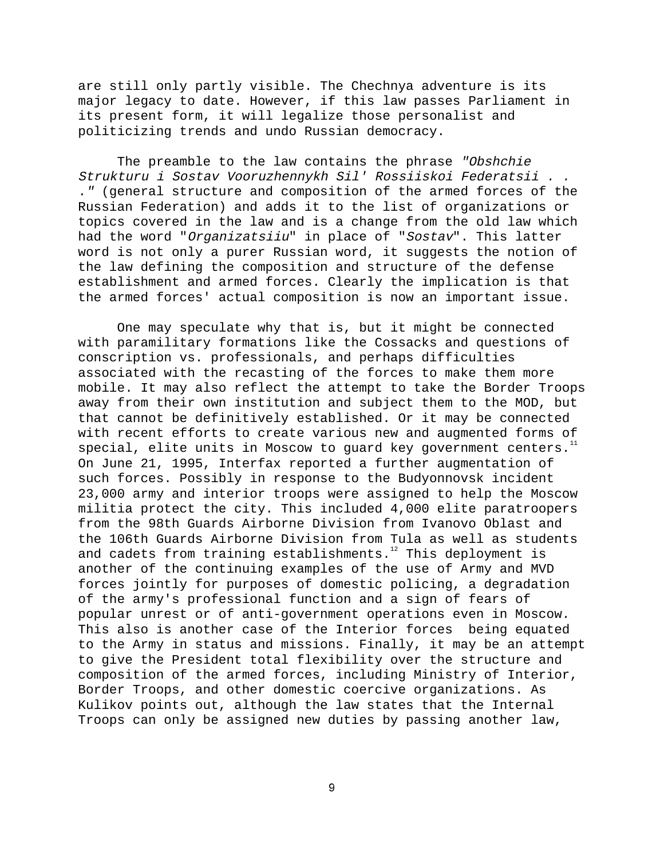are still only partly visible. The Chechnya adventure is its major legacy to date. However, if this law passes Parliament in its present form, it will legalize those personalist and politicizing trends and undo Russian democracy.

The preamble to the law contains the phrase "Obshchie Strukturu i Sostav Vooruzhennykh Sil' Rossiiskoi Federatsii . . ." (general structure and composition of the armed forces of the Russian Federation) and adds it to the list of organizations or topics covered in the law and is a change from the old law which had the word "Organizatsiiu" in place of "Sostav". This latter word is not only a purer Russian word, it suggests the notion of the law defining the composition and structure of the defense establishment and armed forces. Clearly the implication is that the armed forces' actual composition is now an important issue.

One may speculate why that is, but it might be connected with paramilitary formations like the Cossacks and questions of conscription vs. professionals, and perhaps difficulties associated with the recasting of the forces to make them more mobile. It may also reflect the attempt to take the Border Troops away from their own institution and subject them to the MOD, but that cannot be definitively established. Or it may be connected with recent efforts to create various new and augmented forms of  $special$ , elite units in Moscow to guard key government centers.<sup>11</sup> On June 21, 1995, Interfax reported a further augmentation of such forces. Possibly in response to the Budyonnovsk incident 23,000 army and interior troops were assigned to help the Moscow militia protect the city. This included 4,000 elite paratroopers from the 98th Guards Airborne Division from Ivanovo Oblast and the 106th Guards Airborne Division from Tula as well as students and cadets from training establishments. $12$  This deployment is another of the continuing examples of the use of Army and MVD forces jointly for purposes of domestic policing, a degradation of the army's professional function and a sign of fears of popular unrest or of anti-government operations even in Moscow. This also is another case of the Interior forces being equated to the Army in status and missions. Finally, it may be an attempt to give the President total flexibility over the structure and composition of the armed forces, including Ministry of Interior, Border Troops, and other domestic coercive organizations. As Kulikov points out, although the law states that the Internal Troops can only be assigned new duties by passing another law,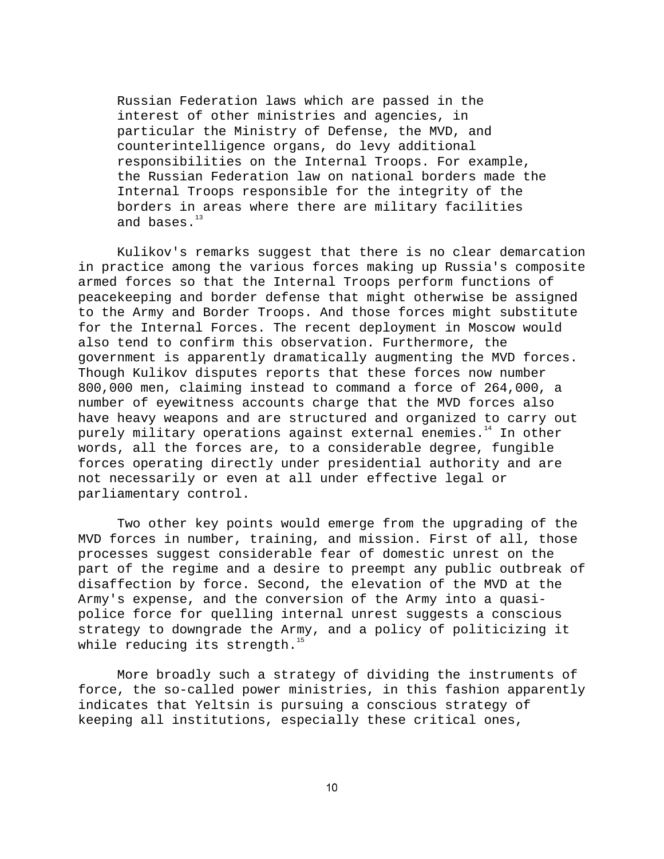Russian Federation laws which are passed in the interest of other ministries and agencies, in particular the Ministry of Defense, the MVD, and counterintelligence organs, do levy additional responsibilities on the Internal Troops. For example, the Russian Federation law on national borders made the Internal Troops responsible for the integrity of the borders in areas where there are military facilities and bases.<sup>13</sup>

Kulikov's remarks suggest that there is no clear demarcation in practice among the various forces making up Russia's composite armed forces so that the Internal Troops perform functions of peacekeeping and border defense that might otherwise be assigned to the Army and Border Troops. And those forces might substitute for the Internal Forces. The recent deployment in Moscow would also tend to confirm this observation. Furthermore, the government is apparently dramatically augmenting the MVD forces. Though Kulikov disputes reports that these forces now number 800,000 men, claiming instead to command a force of 264,000, a number of eyewitness accounts charge that the MVD forces also have heavy weapons and are structured and organized to carry out purely military operations against external enemies.<sup>14</sup> In other words, all the forces are, to a considerable degree, fungible forces operating directly under presidential authority and are not necessarily or even at all under effective legal or parliamentary control.

Two other key points would emerge from the upgrading of the MVD forces in number, training, and mission. First of all, those processes suggest considerable fear of domestic unrest on the part of the regime and a desire to preempt any public outbreak of disaffection by force. Second, the elevation of the MVD at the Army's expense, and the conversion of the Army into a quasipolice force for quelling internal unrest suggests a conscious strategy to downgrade the Army, and a policy of politicizing it while reducing its strength. $^{15}$ 

More broadly such a strategy of dividing the instruments of force, the so-called power ministries, in this fashion apparently indicates that Yeltsin is pursuing a conscious strategy of keeping all institutions, especially these critical ones,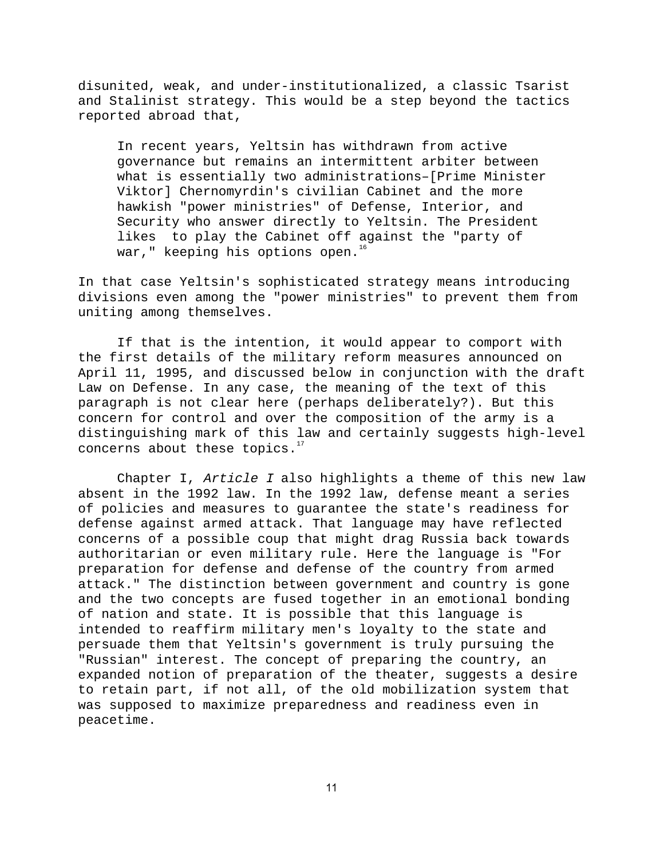disunited, weak, and under-institutionalized, a classic Tsarist and Stalinist strategy. This would be a step beyond the tactics reported abroad that,

In recent years, Yeltsin has withdrawn from active governance but remains an intermittent arbiter between what is essentially two administrations–[Prime Minister Viktor] Chernomyrdin's civilian Cabinet and the more hawkish "power ministries" of Defense, Interior, and Security who answer directly to Yeltsin. The President likes to play the Cabinet off against the "party of war," keeping his options open.<sup>16</sup>

In that case Yeltsin's sophisticated strategy means introducing divisions even among the "power ministries" to prevent them from uniting among themselves.

If that is the intention, it would appear to comport with the first details of the military reform measures announced on April 11, 1995, and discussed below in conjunction with the draft Law on Defense. In any case, the meaning of the text of this paragraph is not clear here (perhaps deliberately?). But this concern for control and over the composition of the army is a distinguishing mark of this law and certainly suggests high-level concerns about these topics. $17$ 

Chapter I, Article I also highlights a theme of this new law absent in the 1992 law. In the 1992 law, defense meant a series of policies and measures to guarantee the state's readiness for defense against armed attack. That language may have reflected concerns of a possible coup that might drag Russia back towards authoritarian or even military rule. Here the language is "For preparation for defense and defense of the country from armed attack." The distinction between government and country is gone and the two concepts are fused together in an emotional bonding of nation and state. It is possible that this language is intended to reaffirm military men's loyalty to the state and persuade them that Yeltsin's government is truly pursuing the "Russian" interest. The concept of preparing the country, an expanded notion of preparation of the theater, suggests a desire to retain part, if not all, of the old mobilization system that was supposed to maximize preparedness and readiness even in peacetime.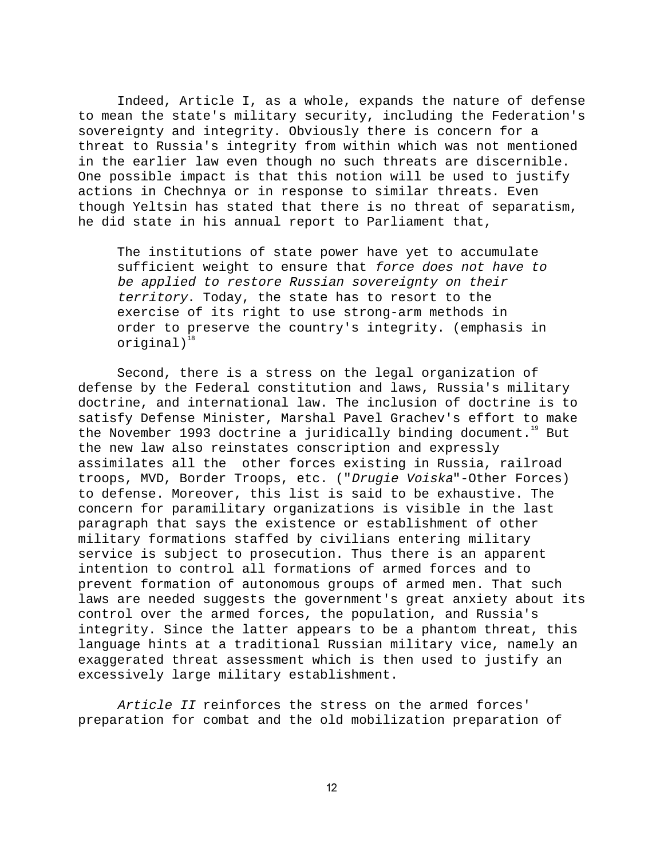Indeed, Article I, as a whole, expands the nature of defense to mean the state's military security, including the Federation's sovereignty and integrity. Obviously there is concern for a threat to Russia's integrity from within which was not mentioned in the earlier law even though no such threats are discernible. One possible impact is that this notion will be used to justify actions in Chechnya or in response to similar threats. Even though Yeltsin has stated that there is no threat of separatism, he did state in his annual report to Parliament that,

The institutions of state power have yet to accumulate sufficient weight to ensure that force does not have to be applied to restore Russian sovereignty on their territory. Today, the state has to resort to the exercise of its right to use strong-arm methods in order to preserve the country's integrity. (emphasis in  $original)^{18}$ 

Second, there is a stress on the legal organization of defense by the Federal constitution and laws, Russia's military doctrine, and international law. The inclusion of doctrine is to satisfy Defense Minister, Marshal Pavel Grachev's effort to make the November 1993 doctrine a juridically binding document.<sup>19</sup> But the new law also reinstates conscription and expressly assimilates all the other forces existing in Russia, railroad troops, MVD, Border Troops, etc. ("Drugie Voiska"-Other Forces) to defense. Moreover, this list is said to be exhaustive. The concern for paramilitary organizations is visible in the last paragraph that says the existence or establishment of other military formations staffed by civilians entering military service is subject to prosecution. Thus there is an apparent intention to control all formations of armed forces and to prevent formation of autonomous groups of armed men. That such laws are needed suggests the government's great anxiety about its control over the armed forces, the population, and Russia's integrity. Since the latter appears to be a phantom threat, this language hints at a traditional Russian military vice, namely an exaggerated threat assessment which is then used to justify an excessively large military establishment.

Article II reinforces the stress on the armed forces' preparation for combat and the old mobilization preparation of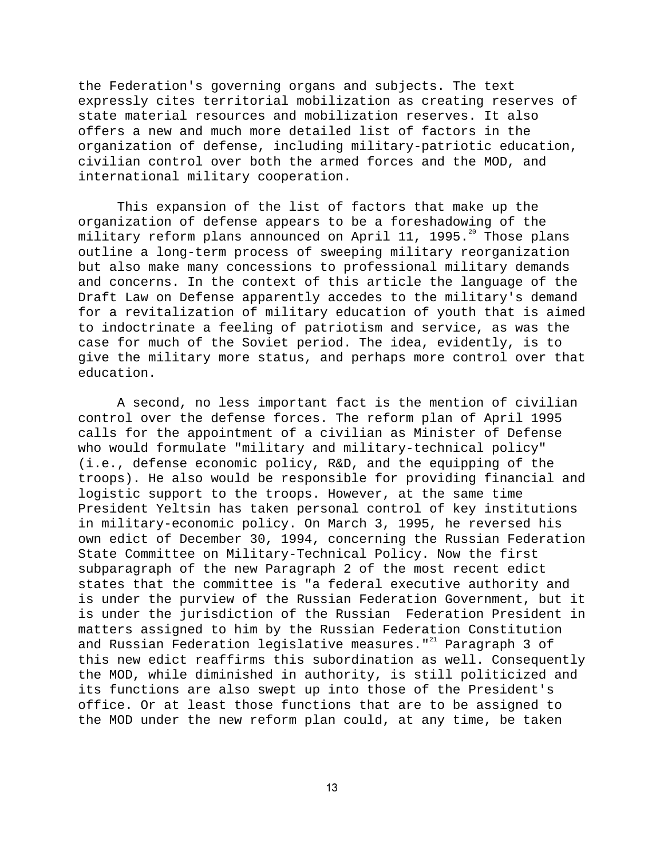the Federation's governing organs and subjects. The text expressly cites territorial mobilization as creating reserves of state material resources and mobilization reserves. It also offers a new and much more detailed list of factors in the organization of defense, including military-patriotic education, civilian control over both the armed forces and the MOD, and international military cooperation.

This expansion of the list of factors that make up the organization of defense appears to be a foreshadowing of the military reform plans announced on April 11, 1995. $^{20}$  Those plans outline a long-term process of sweeping military reorganization but also make many concessions to professional military demands and concerns. In the context of this article the language of the Draft Law on Defense apparently accedes to the military's demand for a revitalization of military education of youth that is aimed to indoctrinate a feeling of patriotism and service, as was the case for much of the Soviet period. The idea, evidently, is to give the military more status, and perhaps more control over that education.

A second, no less important fact is the mention of civilian control over the defense forces. The reform plan of April 1995 calls for the appointment of a civilian as Minister of Defense who would formulate "military and military-technical policy" (i.e., defense economic policy, R&D, and the equipping of the troops). He also would be responsible for providing financial and logistic support to the troops. However, at the same time President Yeltsin has taken personal control of key institutions in military-economic policy. On March 3, 1995, he reversed his own edict of December 30, 1994, concerning the Russian Federation State Committee on Military-Technical Policy. Now the first subparagraph of the new Paragraph 2 of the most recent edict states that the committee is "a federal executive authority and is under the purview of the Russian Federation Government, but it is under the jurisdiction of the Russian Federation President in matters assigned to him by the Russian Federation Constitution and Russian Federation legislative measures." $21$  Paragraph 3 of this new edict reaffirms this subordination as well. Consequently the MOD, while diminished in authority, is still politicized and its functions are also swept up into those of the President's office. Or at least those functions that are to be assigned to the MOD under the new reform plan could, at any time, be taken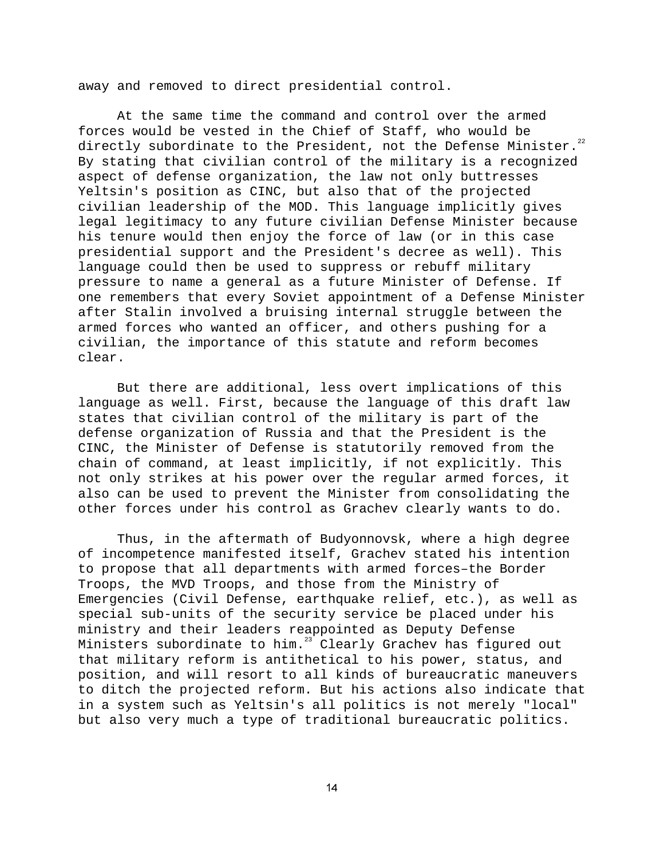away and removed to direct presidential control.

At the same time the command and control over the armed forces would be vested in the Chief of Staff, who would be directly subordinate to the President, not the Defense Minister. $^{22}$ By stating that civilian control of the military is a recognized aspect of defense organization, the law not only buttresses Yeltsin's position as CINC, but also that of the projected civilian leadership of the MOD. This language implicitly gives legal legitimacy to any future civilian Defense Minister because his tenure would then enjoy the force of law (or in this case presidential support and the President's decree as well). This language could then be used to suppress or rebuff military pressure to name a general as a future Minister of Defense. If one remembers that every Soviet appointment of a Defense Minister after Stalin involved a bruising internal struggle between the armed forces who wanted an officer, and others pushing for a civilian, the importance of this statute and reform becomes clear.

But there are additional, less overt implications of this language as well. First, because the language of this draft law states that civilian control of the military is part of the defense organization of Russia and that the President is the CINC, the Minister of Defense is statutorily removed from the chain of command, at least implicitly, if not explicitly. This not only strikes at his power over the regular armed forces, it also can be used to prevent the Minister from consolidating the other forces under his control as Grachev clearly wants to do.

Thus, in the aftermath of Budyonnovsk, where a high degree of incompetence manifested itself, Grachev stated his intention to propose that all departments with armed forces–the Border Troops, the MVD Troops, and those from the Ministry of Emergencies (Civil Defense, earthquake relief, etc.), as well as special sub-units of the security service be placed under his ministry and their leaders reappointed as Deputy Defense Ministers subordinate to him.<sup>23</sup> Clearly Grachev has figured out that military reform is antithetical to his power, status, and position, and will resort to all kinds of bureaucratic maneuvers to ditch the projected reform. But his actions also indicate that in a system such as Yeltsin's all politics is not merely "local" but also very much a type of traditional bureaucratic politics.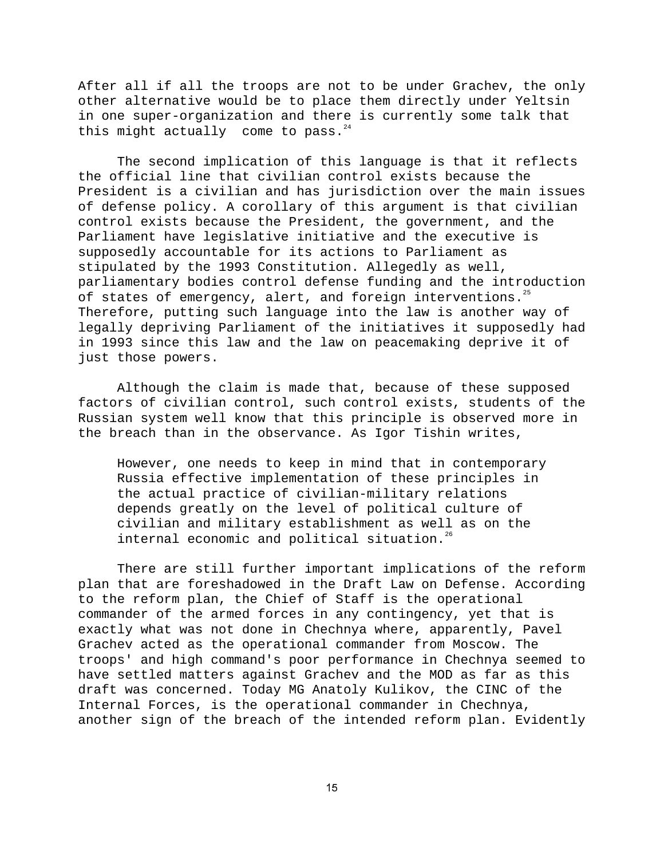After all if all the troops are not to be under Grachev, the only other alternative would be to place them directly under Yeltsin in one super-organization and there is currently some talk that this might actually come to pass. $24$ 

The second implication of this language is that it reflects the official line that civilian control exists because the President is a civilian and has jurisdiction over the main issues of defense policy. A corollary of this argument is that civilian control exists because the President, the government, and the Parliament have legislative initiative and the executive is supposedly accountable for its actions to Parliament as stipulated by the 1993 Constitution. Allegedly as well, parliamentary bodies control defense funding and the introduction of states of emergency, alert, and foreign interventions.<sup>25</sup> Therefore, putting such language into the law is another way of legally depriving Parliament of the initiatives it supposedly had in 1993 since this law and the law on peacemaking deprive it of just those powers.

Although the claim is made that, because of these supposed factors of civilian control, such control exists, students of the Russian system well know that this principle is observed more in the breach than in the observance. As Igor Tishin writes,

However, one needs to keep in mind that in contemporary Russia effective implementation of these principles in the actual practice of civilian-military relations depends greatly on the level of political culture of civilian and military establishment as well as on the internal economic and political situation.<sup>26</sup>

There are still further important implications of the reform plan that are foreshadowed in the Draft Law on Defense. According to the reform plan, the Chief of Staff is the operational commander of the armed forces in any contingency, yet that is exactly what was not done in Chechnya where, apparently, Pavel Grachev acted as the operational commander from Moscow. The troops' and high command's poor performance in Chechnya seemed to have settled matters against Grachev and the MOD as far as this draft was concerned. Today MG Anatoly Kulikov, the CINC of the Internal Forces, is the operational commander in Chechnya, another sign of the breach of the intended reform plan. Evidently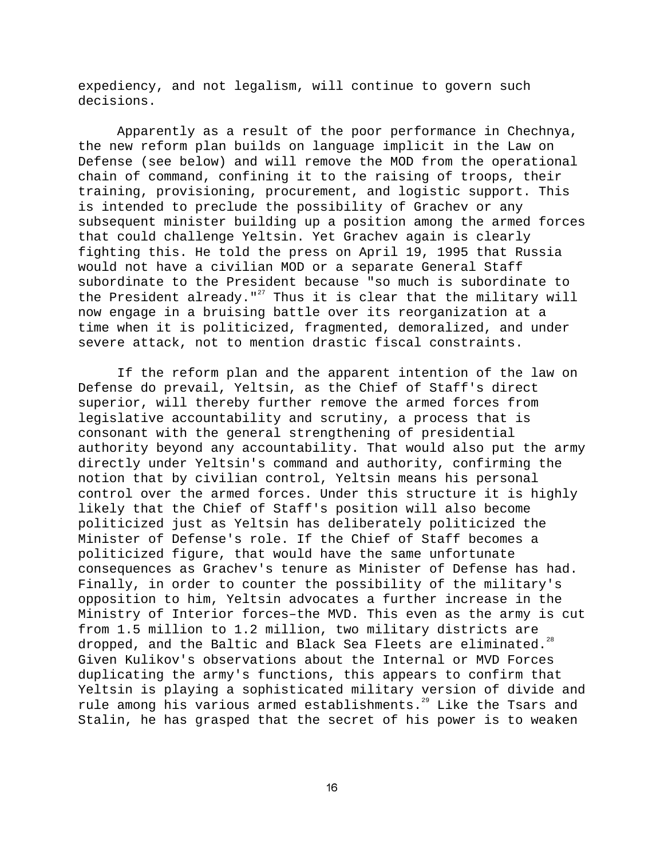expediency, and not legalism, will continue to govern such decisions.

Apparently as a result of the poor performance in Chechnya, the new reform plan builds on language implicit in the Law on Defense (see below) and will remove the MOD from the operational chain of command, confining it to the raising of troops, their training, provisioning, procurement, and logistic support. This is intended to preclude the possibility of Grachev or any subsequent minister building up a position among the armed forces that could challenge Yeltsin. Yet Grachev again is clearly fighting this. He told the press on April 19, 1995 that Russia would not have a civilian MOD or a separate General Staff subordinate to the President because "so much is subordinate to the President already."<sup>27</sup> Thus it is clear that the military will now engage in a bruising battle over its reorganization at a time when it is politicized, fragmented, demoralized, and under severe attack, not to mention drastic fiscal constraints.

If the reform plan and the apparent intention of the law on Defense do prevail, Yeltsin, as the Chief of Staff's direct superior, will thereby further remove the armed forces from legislative accountability and scrutiny, a process that is consonant with the general strengthening of presidential authority beyond any accountability. That would also put the army directly under Yeltsin's command and authority, confirming the notion that by civilian control, Yeltsin means his personal control over the armed forces. Under this structure it is highly likely that the Chief of Staff's position will also become politicized just as Yeltsin has deliberately politicized the Minister of Defense's role. If the Chief of Staff becomes a politicized figure, that would have the same unfortunate consequences as Grachev's tenure as Minister of Defense has had. Finally, in order to counter the possibility of the military's opposition to him, Yeltsin advocates a further increase in the Ministry of Interior forces–the MVD. This even as the army is cut from 1.5 million to 1.2 million, two military districts are dropped, and the Baltic and Black Sea Fleets are eliminated.<sup>28</sup> Given Kulikov's observations about the Internal or MVD Forces duplicating the army's functions, this appears to confirm that Yeltsin is playing a sophisticated military version of divide and rule among his various armed establishments.<sup>29</sup> Like the Tsars and Stalin, he has grasped that the secret of his power is to weaken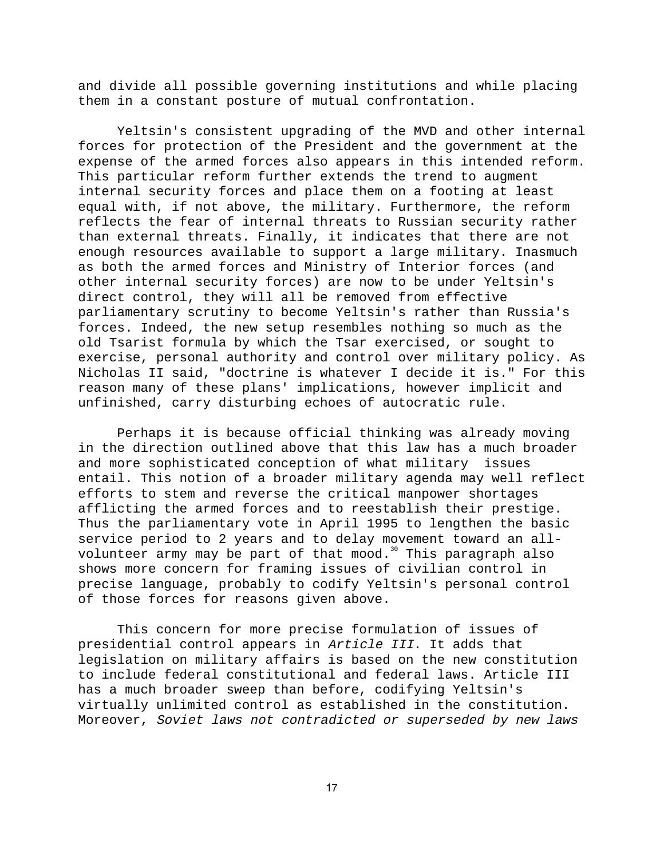and divide all possible governing institutions and while placing them in a constant posture of mutual confrontation.

Yeltsin's consistent upgrading of the MVD and other internal forces for protection of the President and the government at the expense of the armed forces also appears in this intended reform. This particular reform further extends the trend to augment internal security forces and place them on a footing at least equal with, if not above, the military. Furthermore, the reform reflects the fear of internal threats to Russian security rather than external threats. Finally, it indicates that there are not enough resources available to support a large military. Inasmuch as both the armed forces and Ministry of Interior forces (and other internal security forces) are now to be under Yeltsin's direct control, they will all be removed from effective parliamentary scrutiny to become Yeltsin's rather than Russia's forces. Indeed, the new setup resembles nothing so much as the old Tsarist formula by which the Tsar exercised, or sought to exercise, personal authority and control over military policy. As Nicholas II said, "doctrine is whatever I decide it is." For this reason many of these plans' implications, however implicit and unfinished, carry disturbing echoes of autocratic rule.

Perhaps it is because official thinking was already moving in the direction outlined above that this law has a much broader and more sophisticated conception of what military issues entail. This notion of a broader military agenda may well reflect efforts to stem and reverse the critical manpower shortages afflicting the armed forces and to reestablish their prestige. Thus the parliamentary vote in April 1995 to lengthen the basic service period to 2 years and to delay movement toward an allvolunteer army may be part of that mood.<sup>30</sup> This paragraph also shows more concern for framing issues of civilian control in precise language, probably to codify Yeltsin's personal control of those forces for reasons given above.

This concern for more precise formulation of issues of presidential control appears in Article III. It adds that legislation on military affairs is based on the new constitution to include federal constitutional and federal laws. Article III has a much broader sweep than before, codifying Yeltsin's virtually unlimited control as established in the constitution. Moreover, Soviet laws not contradicted or superseded by new laws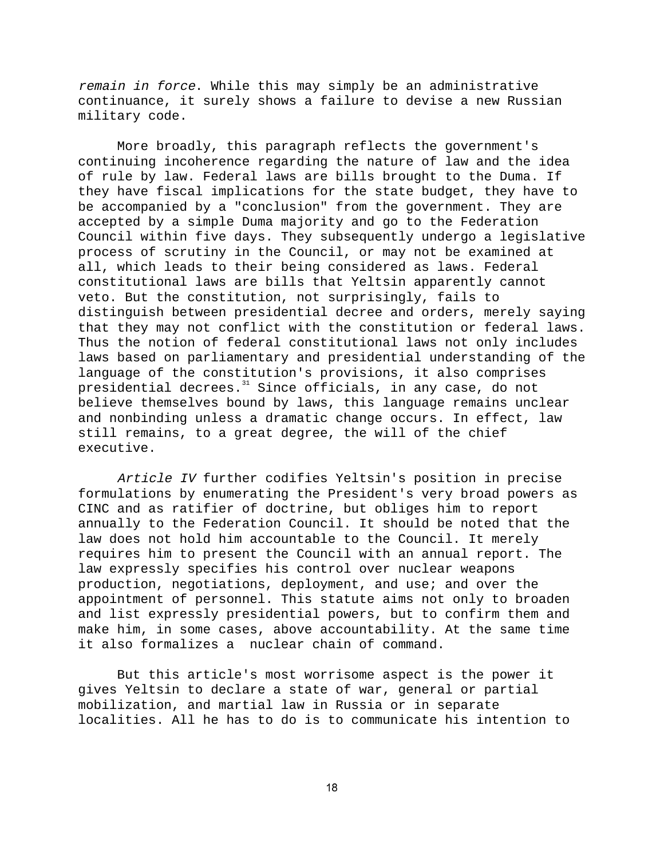remain in force. While this may simply be an administrative continuance, it surely shows a failure to devise a new Russian military code.

More broadly, this paragraph reflects the government's continuing incoherence regarding the nature of law and the idea of rule by law. Federal laws are bills brought to the Duma. If they have fiscal implications for the state budget, they have to be accompanied by a "conclusion" from the government. They are accepted by a simple Duma majority and go to the Federation Council within five days. They subsequently undergo a legislative process of scrutiny in the Council, or may not be examined at all, which leads to their being considered as laws. Federal constitutional laws are bills that Yeltsin apparently cannot veto. But the constitution, not surprisingly, fails to distinguish between presidential decree and orders, merely saying that they may not conflict with the constitution or federal laws. Thus the notion of federal constitutional laws not only includes laws based on parliamentary and presidential understanding of the language of the constitution's provisions, it also comprises presidential decrees.<sup>31</sup> Since officials, in any case, do not believe themselves bound by laws, this language remains unclear and nonbinding unless a dramatic change occurs. In effect, law still remains, to a great degree, the will of the chief executive.

Article IV further codifies Yeltsin's position in precise formulations by enumerating the President's very broad powers as CINC and as ratifier of doctrine, but obliges him to report annually to the Federation Council. It should be noted that the law does not hold him accountable to the Council. It merely requires him to present the Council with an annual report. The law expressly specifies his control over nuclear weapons production, negotiations, deployment, and use; and over the appointment of personnel. This statute aims not only to broaden and list expressly presidential powers, but to confirm them and make him, in some cases, above accountability. At the same time it also formalizes a nuclear chain of command.

But this article's most worrisome aspect is the power it gives Yeltsin to declare a state of war, general or partial mobilization, and martial law in Russia or in separate localities. All he has to do is to communicate his intention to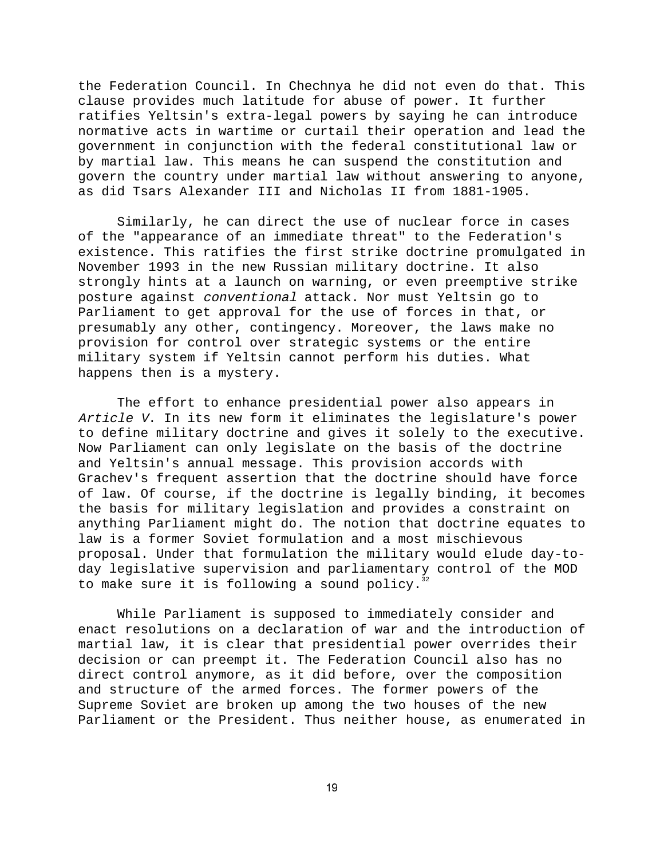the Federation Council. In Chechnya he did not even do that. This clause provides much latitude for abuse of power. It further ratifies Yeltsin's extra-legal powers by saying he can introduce normative acts in wartime or curtail their operation and lead the government in conjunction with the federal constitutional law or by martial law. This means he can suspend the constitution and govern the country under martial law without answering to anyone, as did Tsars Alexander III and Nicholas II from 1881-1905.

Similarly, he can direct the use of nuclear force in cases of the "appearance of an immediate threat" to the Federation's existence. This ratifies the first strike doctrine promulgated in November 1993 in the new Russian military doctrine. It also strongly hints at a launch on warning, or even preemptive strike posture against conventional attack. Nor must Yeltsin go to Parliament to get approval for the use of forces in that, or presumably any other, contingency. Moreover, the laws make no provision for control over strategic systems or the entire military system if Yeltsin cannot perform his duties. What happens then is a mystery.

The effort to enhance presidential power also appears in Article V. In its new form it eliminates the legislature's power to define military doctrine and gives it solely to the executive. Now Parliament can only legislate on the basis of the doctrine and Yeltsin's annual message. This provision accords with Grachev's frequent assertion that the doctrine should have force of law. Of course, if the doctrine is legally binding, it becomes the basis for military legislation and provides a constraint on anything Parliament might do. The notion that doctrine equates to law is a former Soviet formulation and a most mischievous proposal. Under that formulation the military would elude day-today legislative supervision and parliamentary control of the MOD to make sure it is following a sound policy.<sup>3</sup>

While Parliament is supposed to immediately consider and enact resolutions on a declaration of war and the introduction of martial law, it is clear that presidential power overrides their decision or can preempt it. The Federation Council also has no direct control anymore, as it did before, over the composition and structure of the armed forces. The former powers of the Supreme Soviet are broken up among the two houses of the new Parliament or the President. Thus neither house, as enumerated in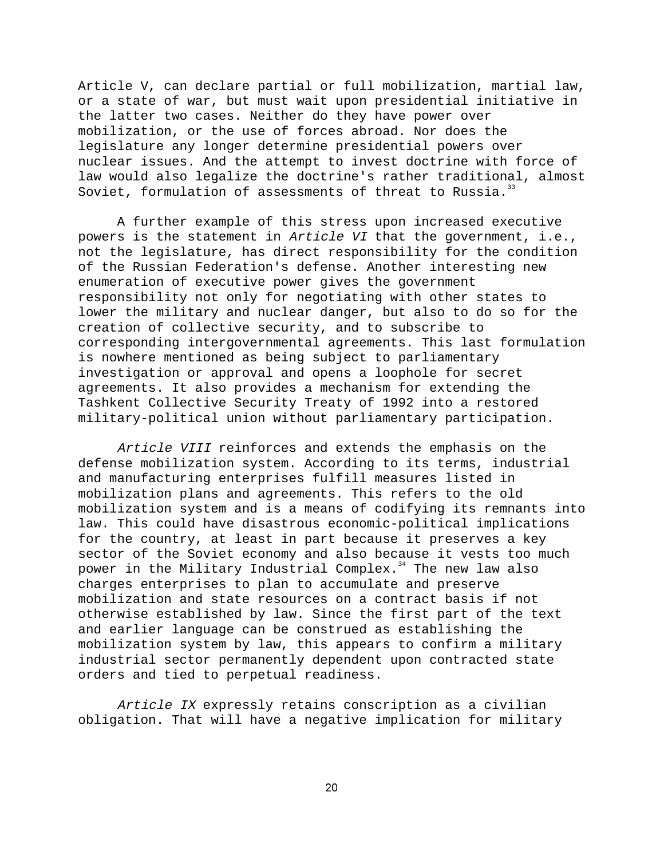Article V, can declare partial or full mobilization, martial law, or a state of war, but must wait upon presidential initiative in the latter two cases. Neither do they have power over mobilization, or the use of forces abroad. Nor does the legislature any longer determine presidential powers over nuclear issues. And the attempt to invest doctrine with force of law would also legalize the doctrine's rather traditional, almost Soviet, formulation of assessments of threat to Russia. $33$ 

A further example of this stress upon increased executive powers is the statement in Article VI that the government, i.e., not the legislature, has direct responsibility for the condition of the Russian Federation's defense. Another interesting new enumeration of executive power gives the government responsibility not only for negotiating with other states to lower the military and nuclear danger, but also to do so for the creation of collective security, and to subscribe to corresponding intergovernmental agreements. This last formulation is nowhere mentioned as being subject to parliamentary investigation or approval and opens a loophole for secret agreements. It also provides a mechanism for extending the Tashkent Collective Security Treaty of 1992 into a restored military-political union without parliamentary participation.

Article VIII reinforces and extends the emphasis on the defense mobilization system. According to its terms, industrial and manufacturing enterprises fulfill measures listed in mobilization plans and agreements. This refers to the old mobilization system and is a means of codifying its remnants into law. This could have disastrous economic-political implications for the country, at least in part because it preserves a key sector of the Soviet economy and also because it vests too much power in the Military Industrial Complex.<sup>34</sup> The new law also charges enterprises to plan to accumulate and preserve mobilization and state resources on a contract basis if not otherwise established by law. Since the first part of the text and earlier language can be construed as establishing the mobilization system by law, this appears to confirm a military industrial sector permanently dependent upon contracted state orders and tied to perpetual readiness.

Article IX expressly retains conscription as a civilian obligation. That will have a negative implication for military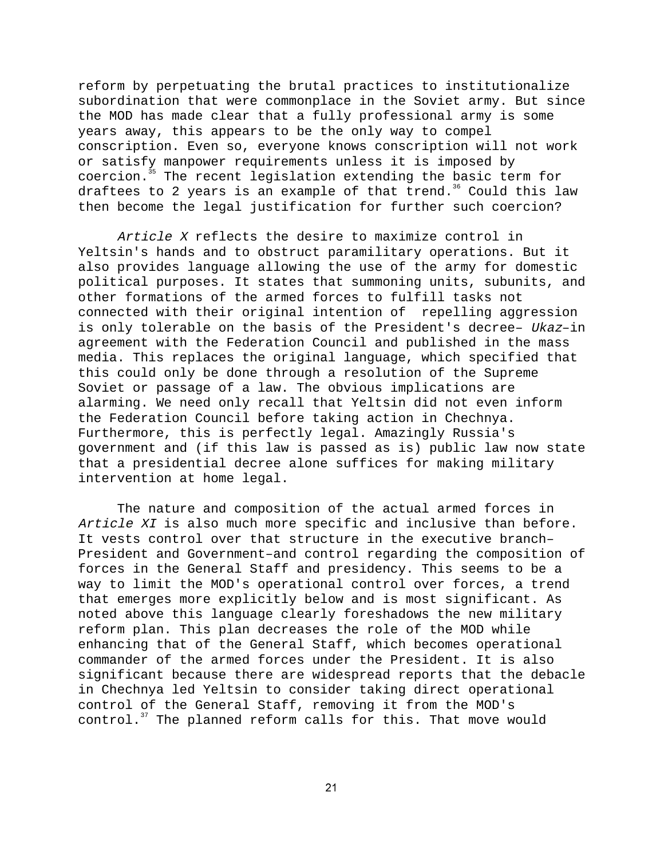reform by perpetuating the brutal practices to institutionalize subordination that were commonplace in the Soviet army. But since the MOD has made clear that a fully professional army is some years away, this appears to be the only way to compel conscription. Even so, everyone knows conscription will not work or satisfy manpower requirements unless it is imposed by coercion.<sup>35</sup> The recent legislation extending the basic term for draftees to 2 years is an example of that trend.<sup>36</sup> Could this law then become the legal justification for further such coercion?

Article X reflects the desire to maximize control in Yeltsin's hands and to obstruct paramilitary operations. But it also provides language allowing the use of the army for domestic political purposes. It states that summoning units, subunits, and other formations of the armed forces to fulfill tasks not connected with their original intention of repelling aggression is only tolerable on the basis of the President's decree– Ukaz–in agreement with the Federation Council and published in the mass media. This replaces the original language, which specified that this could only be done through a resolution of the Supreme Soviet or passage of a law. The obvious implications are alarming. We need only recall that Yeltsin did not even inform the Federation Council before taking action in Chechnya. Furthermore, this is perfectly legal. Amazingly Russia's government and (if this law is passed as is) public law now state that a presidential decree alone suffices for making military intervention at home legal.

The nature and composition of the actual armed forces in Article XI is also much more specific and inclusive than before. It vests control over that structure in the executive branch– President and Government–and control regarding the composition of forces in the General Staff and presidency. This seems to be a way to limit the MOD's operational control over forces, a trend that emerges more explicitly below and is most significant. As noted above this language clearly foreshadows the new military reform plan. This plan decreases the role of the MOD while enhancing that of the General Staff, which becomes operational commander of the armed forces under the President. It is also significant because there are widespread reports that the debacle in Chechnya led Yeltsin to consider taking direct operational control of the General Staff, removing it from the MOD's control.<sup>37</sup> The planned reform calls for this. That move would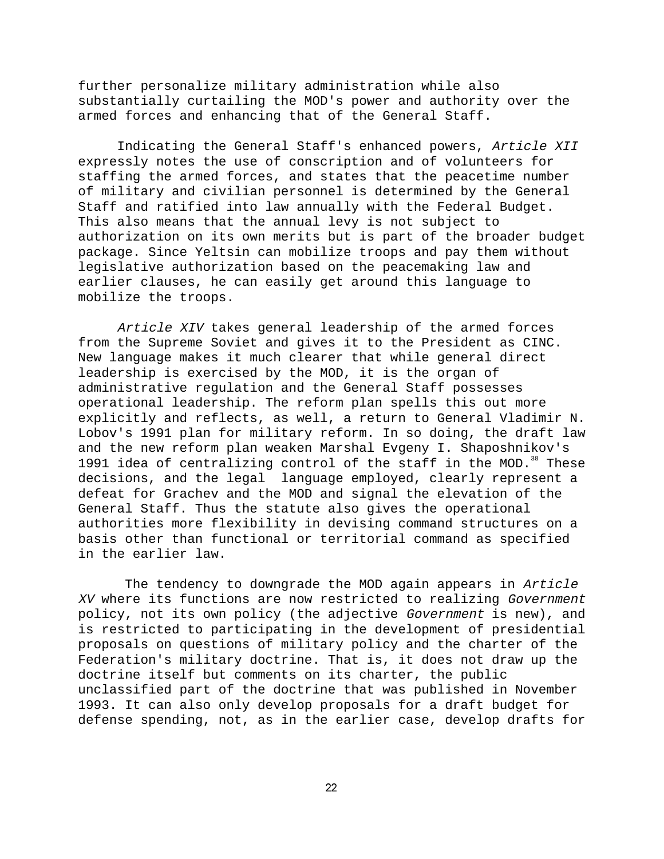further personalize military administration while also substantially curtailing the MOD's power and authority over the armed forces and enhancing that of the General Staff.

Indicating the General Staff's enhanced powers, Article XII expressly notes the use of conscription and of volunteers for staffing the armed forces, and states that the peacetime number of military and civilian personnel is determined by the General Staff and ratified into law annually with the Federal Budget. This also means that the annual levy is not subject to authorization on its own merits but is part of the broader budget package. Since Yeltsin can mobilize troops and pay them without legislative authorization based on the peacemaking law and earlier clauses, he can easily get around this language to mobilize the troops.

Article XIV takes general leadership of the armed forces from the Supreme Soviet and gives it to the President as CINC. New language makes it much clearer that while general direct leadership is exercised by the MOD, it is the organ of administrative regulation and the General Staff possesses operational leadership. The reform plan spells this out more explicitly and reflects, as well, a return to General Vladimir N. Lobov's 1991 plan for military reform. In so doing, the draft law and the new reform plan weaken Marshal Evgeny I. Shaposhnikov's 1991 idea of centralizing control of the staff in the MOD. $38$  These decisions, and the legal language employed, clearly represent a defeat for Grachev and the MOD and signal the elevation of the General Staff. Thus the statute also gives the operational authorities more flexibility in devising command structures on a basis other than functional or territorial command as specified in the earlier law.

The tendency to downgrade the MOD again appears in Article XV where its functions are now restricted to realizing Government policy, not its own policy (the adjective Government is new), and is restricted to participating in the development of presidential proposals on questions of military policy and the charter of the Federation's military doctrine. That is, it does not draw up the doctrine itself but comments on its charter, the public unclassified part of the doctrine that was published in November 1993. It can also only develop proposals for a draft budget for defense spending, not, as in the earlier case, develop drafts for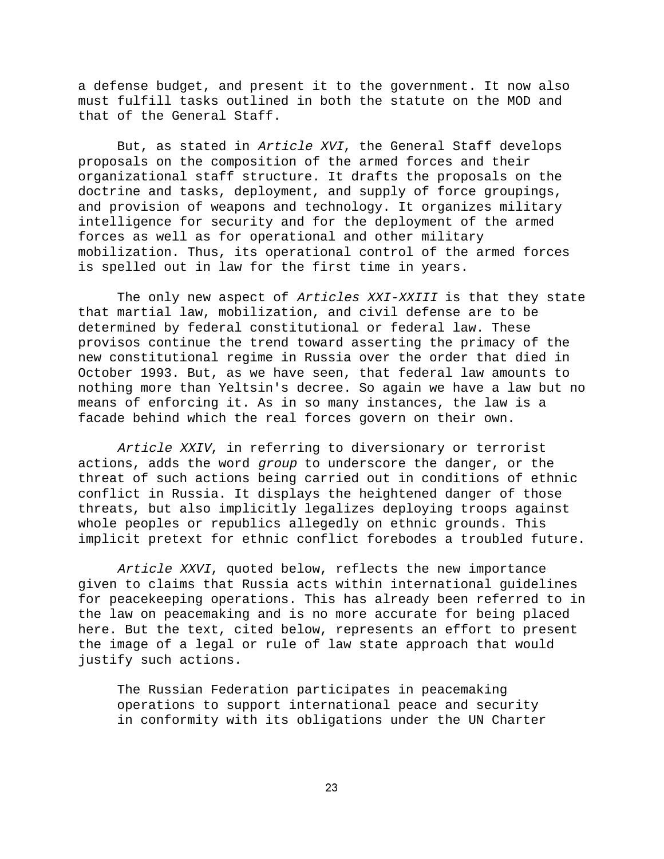a defense budget, and present it to the government. It now also must fulfill tasks outlined in both the statute on the MOD and that of the General Staff.

But, as stated in Article XVI, the General Staff develops proposals on the composition of the armed forces and their organizational staff structure. It drafts the proposals on the doctrine and tasks, deployment, and supply of force groupings, and provision of weapons and technology. It organizes military intelligence for security and for the deployment of the armed forces as well as for operational and other military mobilization. Thus, its operational control of the armed forces is spelled out in law for the first time in years.

The only new aspect of Articles XXI-XXIII is that they state that martial law, mobilization, and civil defense are to be determined by federal constitutional or federal law. These provisos continue the trend toward asserting the primacy of the new constitutional regime in Russia over the order that died in October 1993. But, as we have seen, that federal law amounts to nothing more than Yeltsin's decree. So again we have a law but no means of enforcing it. As in so many instances, the law is a facade behind which the real forces govern on their own.

Article XXIV, in referring to diversionary or terrorist actions, adds the word group to underscore the danger, or the threat of such actions being carried out in conditions of ethnic conflict in Russia. It displays the heightened danger of those threats, but also implicitly legalizes deploying troops against whole peoples or republics allegedly on ethnic grounds. This implicit pretext for ethnic conflict forebodes a troubled future.

Article XXVI, quoted below, reflects the new importance given to claims that Russia acts within international guidelines for peacekeeping operations. This has already been referred to in the law on peacemaking and is no more accurate for being placed here. But the text, cited below, represents an effort to present the image of a legal or rule of law state approach that would justify such actions.

The Russian Federation participates in peacemaking operations to support international peace and security in conformity with its obligations under the UN Charter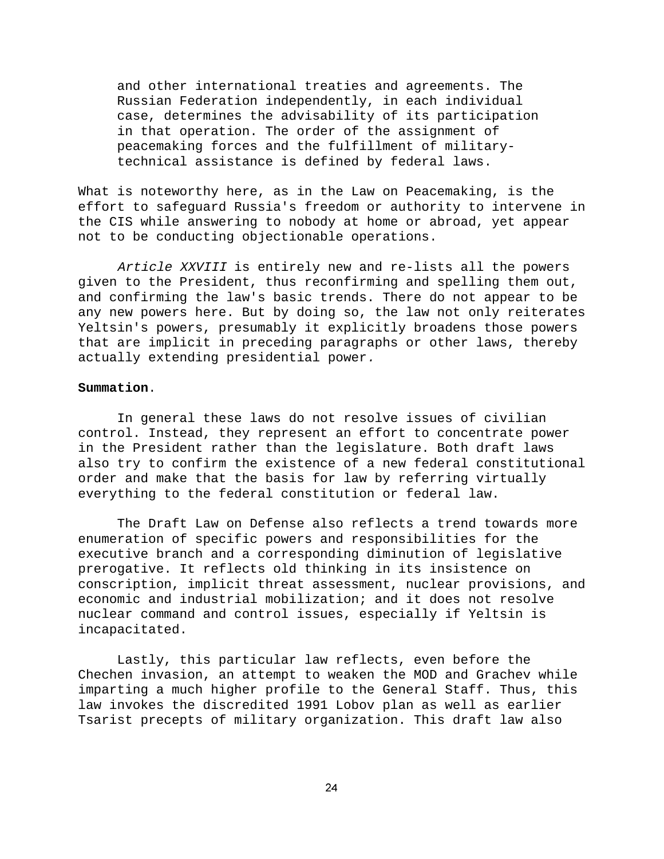and other international treaties and agreements. The Russian Federation independently, in each individual case, determines the advisability of its participation in that operation. The order of the assignment of peacemaking forces and the fulfillment of militarytechnical assistance is defined by federal laws.

What is noteworthy here, as in the Law on Peacemaking, is the effort to safeguard Russia's freedom or authority to intervene in the CIS while answering to nobody at home or abroad, yet appear not to be conducting objectionable operations.

Article XXVIII is entirely new and re-lists all the powers given to the President, thus reconfirming and spelling them out, and confirming the law's basic trends. There do not appear to be any new powers here. But by doing so, the law not only reiterates Yeltsin's powers, presumably it explicitly broadens those powers that are implicit in preceding paragraphs or other laws, thereby actually extending presidential power.

### **Summation**.

In general these laws do not resolve issues of civilian control. Instead, they represent an effort to concentrate power in the President rather than the legislature. Both draft laws also try to confirm the existence of a new federal constitutional order and make that the basis for law by referring virtually everything to the federal constitution or federal law.

The Draft Law on Defense also reflects a trend towards more enumeration of specific powers and responsibilities for the executive branch and a corresponding diminution of legislative prerogative. It reflects old thinking in its insistence on conscription, implicit threat assessment, nuclear provisions, and economic and industrial mobilization; and it does not resolve nuclear command and control issues, especially if Yeltsin is incapacitated.

Lastly, this particular law reflects, even before the Chechen invasion, an attempt to weaken the MOD and Grachev while imparting a much higher profile to the General Staff. Thus, this law invokes the discredited 1991 Lobov plan as well as earlier Tsarist precepts of military organization. This draft law also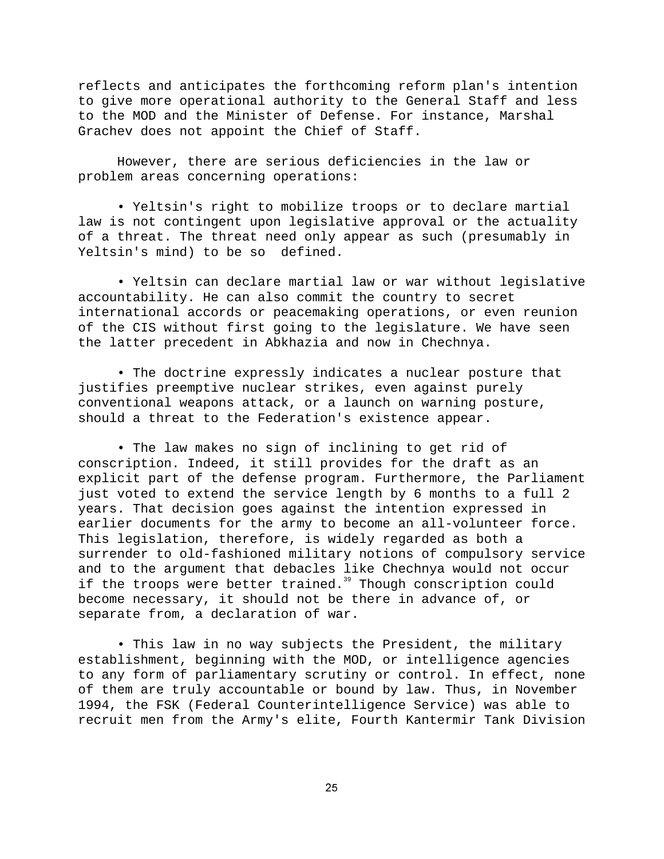reflects and anticipates the forthcoming reform plan's intention to give more operational authority to the General Staff and less to the MOD and the Minister of Defense. For instance, Marshal Grachev does not appoint the Chief of Staff.

However, there are serious deficiencies in the law or problem areas concerning operations:

• Yeltsin's right to mobilize troops or to declare martial law is not contingent upon legislative approval or the actuality of a threat. The threat need only appear as such (presumably in Yeltsin's mind) to be so defined.

• Yeltsin can declare martial law or war without legislative accountability. He can also commit the country to secret international accords or peacemaking operations, or even reunion of the CIS without first going to the legislature. We have seen the latter precedent in Abkhazia and now in Chechnya.

• The doctrine expressly indicates a nuclear posture that justifies preemptive nuclear strikes, even against purely conventional weapons attack, or a launch on warning posture, should a threat to the Federation's existence appear.

• The law makes no sign of inclining to get rid of conscription. Indeed, it still provides for the draft as an explicit part of the defense program. Furthermore, the Parliament just voted to extend the service length by 6 months to a full 2 years. That decision goes against the intention expressed in earlier documents for the army to become an all-volunteer force. This legislation, therefore, is widely regarded as both a surrender to old-fashioned military notions of compulsory service and to the argument that debacles like Chechnya would not occur if the troops were better trained.<sup>39</sup> Though conscription could become necessary, it should not be there in advance of, or separate from, a declaration of war.

• This law in no way subjects the President, the military establishment, beginning with the MOD, or intelligence agencies to any form of parliamentary scrutiny or control. In effect, none of them are truly accountable or bound by law. Thus, in November 1994, the FSK (Federal Counterintelligence Service) was able to recruit men from the Army's elite, Fourth Kantermir Tank Division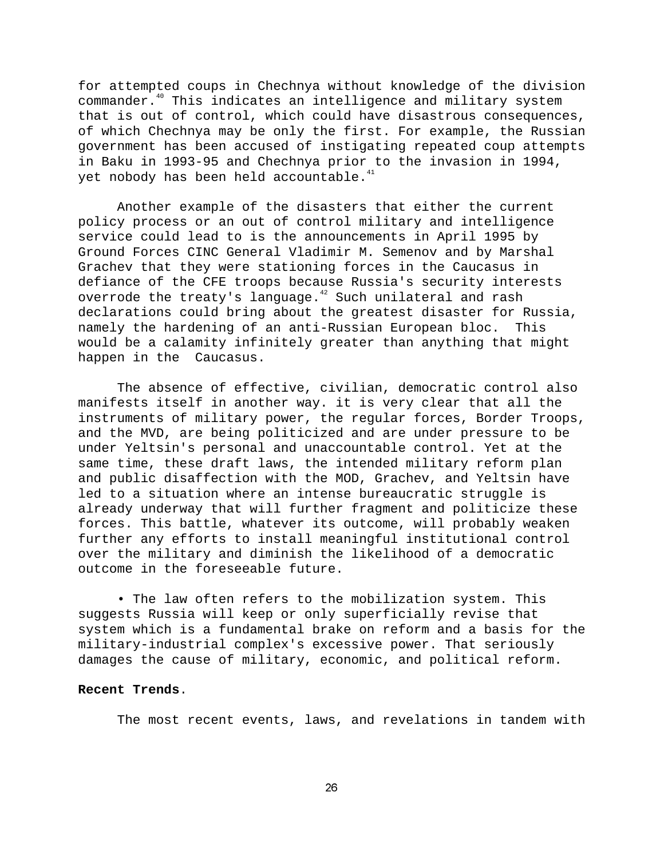for attempted coups in Chechnya without knowledge of the division commander.<sup>40</sup> This indicates an intelligence and military system that is out of control, which could have disastrous consequences, of which Chechnya may be only the first. For example, the Russian government has been accused of instigating repeated coup attempts in Baku in 1993-95 and Chechnya prior to the invasion in 1994, yet nobody has been held accountable. $41$ 

Another example of the disasters that either the current policy process or an out of control military and intelligence service could lead to is the announcements in April 1995 by Ground Forces CINC General Vladimir M. Semenov and by Marshal Grachev that they were stationing forces in the Caucasus in defiance of the CFE troops because Russia's security interests overrode the treaty's language.<sup>42</sup> Such unilateral and rash declarations could bring about the greatest disaster for Russia, namely the hardening of an anti-Russian European bloc. This would be a calamity infinitely greater than anything that might happen in the Caucasus.

The absence of effective, civilian, democratic control also manifests itself in another way. it is very clear that all the instruments of military power, the regular forces, Border Troops, and the MVD, are being politicized and are under pressure to be under Yeltsin's personal and unaccountable control. Yet at the same time, these draft laws, the intended military reform plan and public disaffection with the MOD, Grachev, and Yeltsin have led to a situation where an intense bureaucratic struggle is already underway that will further fragment and politicize these forces. This battle, whatever its outcome, will probably weaken further any efforts to install meaningful institutional control over the military and diminish the likelihood of a democratic outcome in the foreseeable future.

• The law often refers to the mobilization system. This suggests Russia will keep or only superficially revise that system which is a fundamental brake on reform and a basis for the military-industrial complex's excessive power. That seriously damages the cause of military, economic, and political reform.

#### **Recent Trends**.

The most recent events, laws, and revelations in tandem with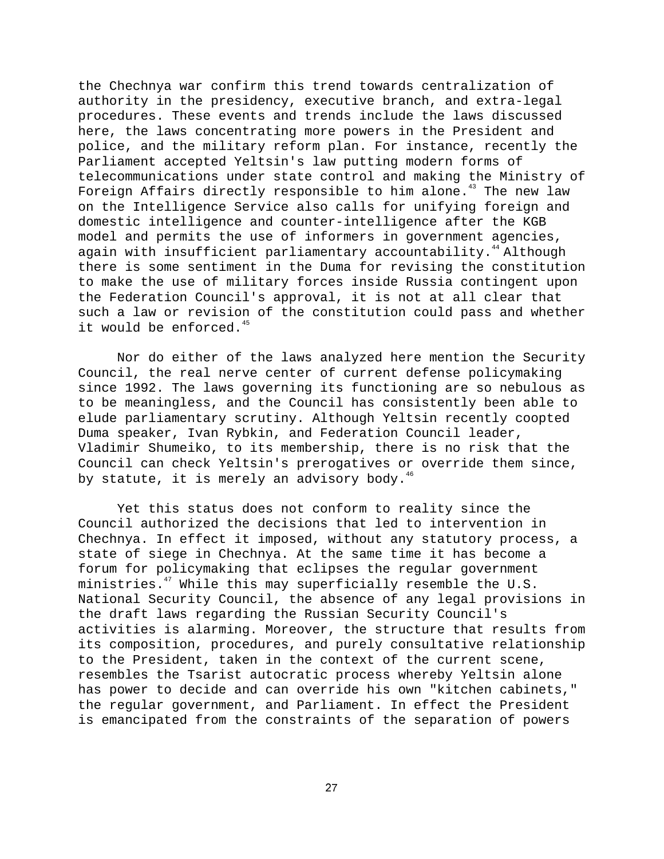the Chechnya war confirm this trend towards centralization of authority in the presidency, executive branch, and extra-legal procedures. These events and trends include the laws discussed here, the laws concentrating more powers in the President and police, and the military reform plan. For instance, recently the Parliament accepted Yeltsin's law putting modern forms of telecommunications under state control and making the Ministry of Foreign Affairs directly responsible to him alone.<sup>43</sup> The new law on the Intelligence Service also calls for unifying foreign and domestic intelligence and counter-intelligence after the KGB model and permits the use of informers in government agencies, again with insufficient parliamentary accountability.<sup>44</sup> Although there is some sentiment in the Duma for revising the constitution to make the use of military forces inside Russia contingent upon the Federation Council's approval, it is not at all clear that such a law or revision of the constitution could pass and whether it would be enforced.<sup>45</sup>

Nor do either of the laws analyzed here mention the Security Council, the real nerve center of current defense policymaking since 1992. The laws governing its functioning are so nebulous as to be meaningless, and the Council has consistently been able to elude parliamentary scrutiny. Although Yeltsin recently coopted Duma speaker, Ivan Rybkin, and Federation Council leader, Vladimir Shumeiko, to its membership, there is no risk that the Council can check Yeltsin's prerogatives or override them since, by statute, it is merely an advisory body. $46$ 

Yet this status does not conform to reality since the Council authorized the decisions that led to intervention in Chechnya. In effect it imposed, without any statutory process, a state of siege in Chechnya. At the same time it has become a forum for policymaking that eclipses the regular government ministries. $47$  While this may superficially resemble the U.S. National Security Council, the absence of any legal provisions in the draft laws regarding the Russian Security Council's activities is alarming. Moreover, the structure that results from its composition, procedures, and purely consultative relationship to the President, taken in the context of the current scene, resembles the Tsarist autocratic process whereby Yeltsin alone has power to decide and can override his own "kitchen cabinets," the regular government, and Parliament. In effect the President is emancipated from the constraints of the separation of powers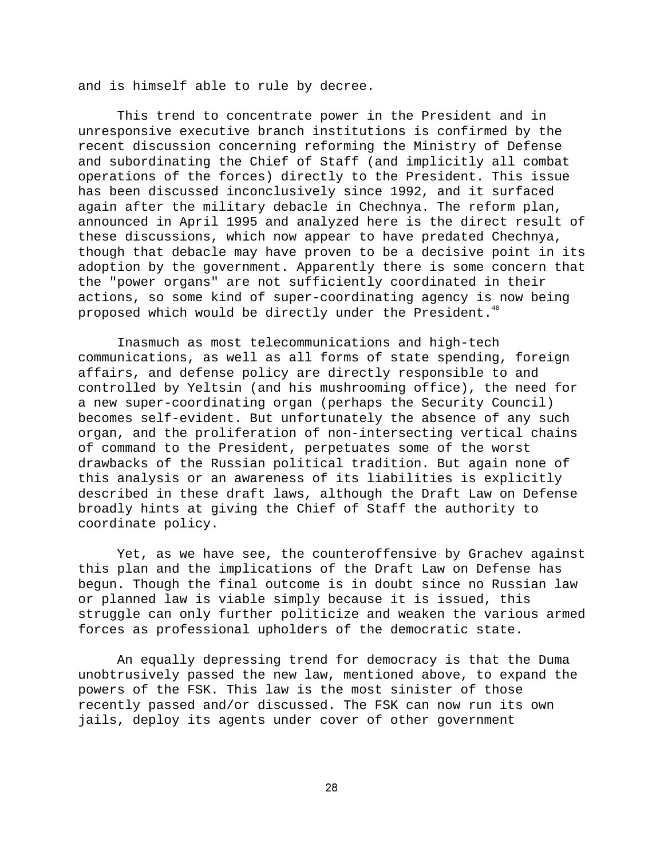and is himself able to rule by decree.

This trend to concentrate power in the President and in unresponsive executive branch institutions is confirmed by the recent discussion concerning reforming the Ministry of Defense and subordinating the Chief of Staff (and implicitly all combat operations of the forces) directly to the President. This issue has been discussed inconclusively since 1992, and it surfaced again after the military debacle in Chechnya. The reform plan, announced in April 1995 and analyzed here is the direct result of these discussions, which now appear to have predated Chechnya, though that debacle may have proven to be a decisive point in its adoption by the government. Apparently there is some concern that the "power organs" are not sufficiently coordinated in their actions, so some kind of super-coordinating agency is now being proposed which would be directly under the President.<sup>48</sup>

Inasmuch as most telecommunications and high-tech communications, as well as all forms of state spending, foreign affairs, and defense policy are directly responsible to and controlled by Yeltsin (and his mushrooming office), the need for a new super-coordinating organ (perhaps the Security Council) becomes self-evident. But unfortunately the absence of any such organ, and the proliferation of non-intersecting vertical chains of command to the President, perpetuates some of the worst drawbacks of the Russian political tradition. But again none of this analysis or an awareness of its liabilities is explicitly described in these draft laws, although the Draft Law on Defense broadly hints at giving the Chief of Staff the authority to coordinate policy.

Yet, as we have see, the counteroffensive by Grachev against this plan and the implications of the Draft Law on Defense has begun. Though the final outcome is in doubt since no Russian law or planned law is viable simply because it is issued, this struggle can only further politicize and weaken the various armed forces as professional upholders of the democratic state.

An equally depressing trend for democracy is that the Duma unobtrusively passed the new law, mentioned above, to expand the powers of the FSK. This law is the most sinister of those recently passed and/or discussed. The FSK can now run its own jails, deploy its agents under cover of other government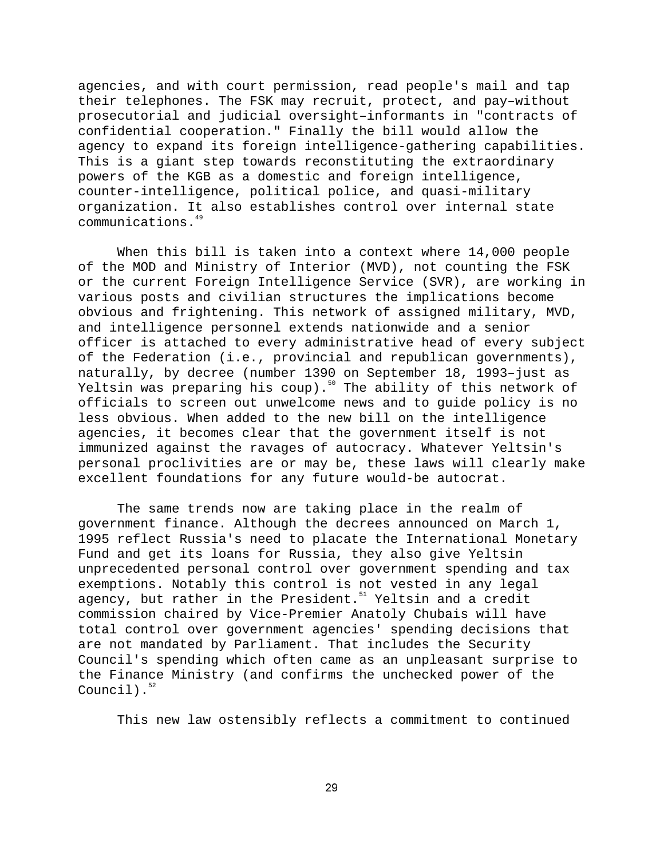agencies, and with court permission, read people's mail and tap their telephones. The FSK may recruit, protect, and pay–without prosecutorial and judicial oversight–informants in "contracts of confidential cooperation." Finally the bill would allow the agency to expand its foreign intelligence-gathering capabilities. This is a giant step towards reconstituting the extraordinary powers of the KGB as a domestic and foreign intelligence, counter-intelligence, political police, and quasi-military organization. It also establishes control over internal state communications.49

When this bill is taken into a context where 14,000 people of the MOD and Ministry of Interior (MVD), not counting the FSK or the current Foreign Intelligence Service (SVR), are working in various posts and civilian structures the implications become obvious and frightening. This network of assigned military, MVD, and intelligence personnel extends nationwide and a senior officer is attached to every administrative head of every subject of the Federation (i.e., provincial and republican governments), naturally, by decree (number 1390 on September 18, 1993–just as Yeltsin was preparing his coup).<sup>50</sup> The ability of this network of officials to screen out unwelcome news and to guide policy is no less obvious. When added to the new bill on the intelligence agencies, it becomes clear that the government itself is not immunized against the ravages of autocracy. Whatever Yeltsin's personal proclivities are or may be, these laws will clearly make excellent foundations for any future would-be autocrat.

The same trends now are taking place in the realm of government finance. Although the decrees announced on March 1, 1995 reflect Russia's need to placate the International Monetary Fund and get its loans for Russia, they also give Yeltsin unprecedented personal control over government spending and tax exemptions. Notably this control is not vested in any legal agency, but rather in the President.<sup>51</sup> Yeltsin and a credit commission chaired by Vice-Premier Anatoly Chubais will have total control over government agencies' spending decisions that are not mandated by Parliament. That includes the Security Council's spending which often came as an unpleasant surprise to the Finance Ministry (and confirms the unchecked power of the Council). $52$ 

This new law ostensibly reflects a commitment to continued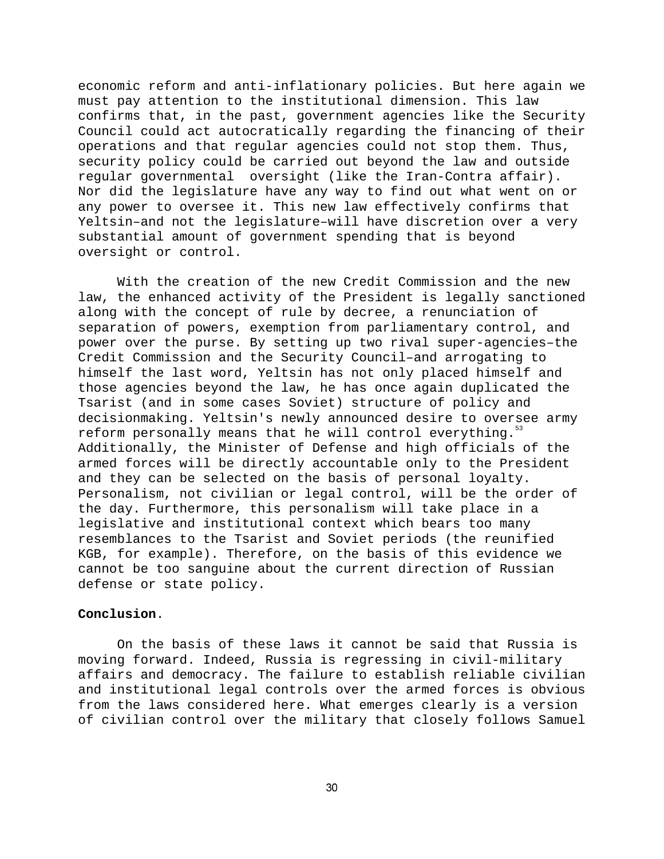economic reform and anti-inflationary policies. But here again we must pay attention to the institutional dimension. This law confirms that, in the past, government agencies like the Security Council could act autocratically regarding the financing of their operations and that regular agencies could not stop them. Thus, security policy could be carried out beyond the law and outside regular governmental oversight (like the Iran-Contra affair). Nor did the legislature have any way to find out what went on or any power to oversee it. This new law effectively confirms that Yeltsin–and not the legislature–will have discretion over a very substantial amount of government spending that is beyond oversight or control.

With the creation of the new Credit Commission and the new law, the enhanced activity of the President is legally sanctioned along with the concept of rule by decree, a renunciation of separation of powers, exemption from parliamentary control, and power over the purse. By setting up two rival super-agencies–the Credit Commission and the Security Council–and arrogating to himself the last word, Yeltsin has not only placed himself and those agencies beyond the law, he has once again duplicated the Tsarist (and in some cases Soviet) structure of policy and decisionmaking. Yeltsin's newly announced desire to oversee army reform personally means that he will control everything." Additionally, the Minister of Defense and high officials of the armed forces will be directly accountable only to the President and they can be selected on the basis of personal loyalty. Personalism, not civilian or legal control, will be the order of the day. Furthermore, this personalism will take place in a legislative and institutional context which bears too many resemblances to the Tsarist and Soviet periods (the reunified KGB, for example). Therefore, on the basis of this evidence we cannot be too sanguine about the current direction of Russian defense or state policy.

# **Conclusion**.

On the basis of these laws it cannot be said that Russia is moving forward. Indeed, Russia is regressing in civil-military affairs and democracy. The failure to establish reliable civilian and institutional legal controls over the armed forces is obvious from the laws considered here. What emerges clearly is a version of civilian control over the military that closely follows Samuel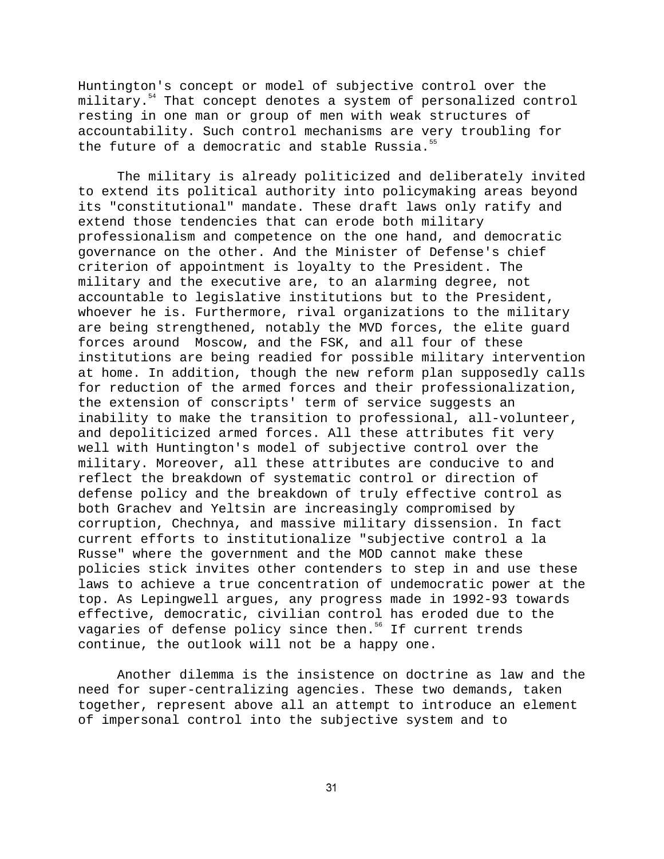Huntington's concept or model of subjective control over the military.<sup>54</sup> That concept denotes a system of personalized control resting in one man or group of men with weak structures of accountability. Such control mechanisms are very troubling for the future of a democratic and stable Russia. $55$ 

The military is already politicized and deliberately invited to extend its political authority into policymaking areas beyond its "constitutional" mandate. These draft laws only ratify and extend those tendencies that can erode both military professionalism and competence on the one hand, and democratic governance on the other. And the Minister of Defense's chief criterion of appointment is loyalty to the President. The military and the executive are, to an alarming degree, not accountable to legislative institutions but to the President, whoever he is. Furthermore, rival organizations to the military are being strengthened, notably the MVD forces, the elite guard forces around Moscow, and the FSK, and all four of these institutions are being readied for possible military intervention at home. In addition, though the new reform plan supposedly calls for reduction of the armed forces and their professionalization, the extension of conscripts' term of service suggests an inability to make the transition to professional, all-volunteer, and depoliticized armed forces. All these attributes fit very well with Huntington's model of subjective control over the military. Moreover, all these attributes are conducive to and reflect the breakdown of systematic control or direction of defense policy and the breakdown of truly effective control as both Grachev and Yeltsin are increasingly compromised by corruption, Chechnya, and massive military dissension. In fact current efforts to institutionalize "subjective control a la Russe" where the government and the MOD cannot make these policies stick invites other contenders to step in and use these laws to achieve a true concentration of undemocratic power at the top. As Lepingwell argues, any progress made in 1992-93 towards effective, democratic, civilian control has eroded due to the vagaries of defense policy since then.<sup>56</sup> If current trends continue, the outlook will not be a happy one.

Another dilemma is the insistence on doctrine as law and the need for super-centralizing agencies. These two demands, taken together, represent above all an attempt to introduce an element of impersonal control into the subjective system and to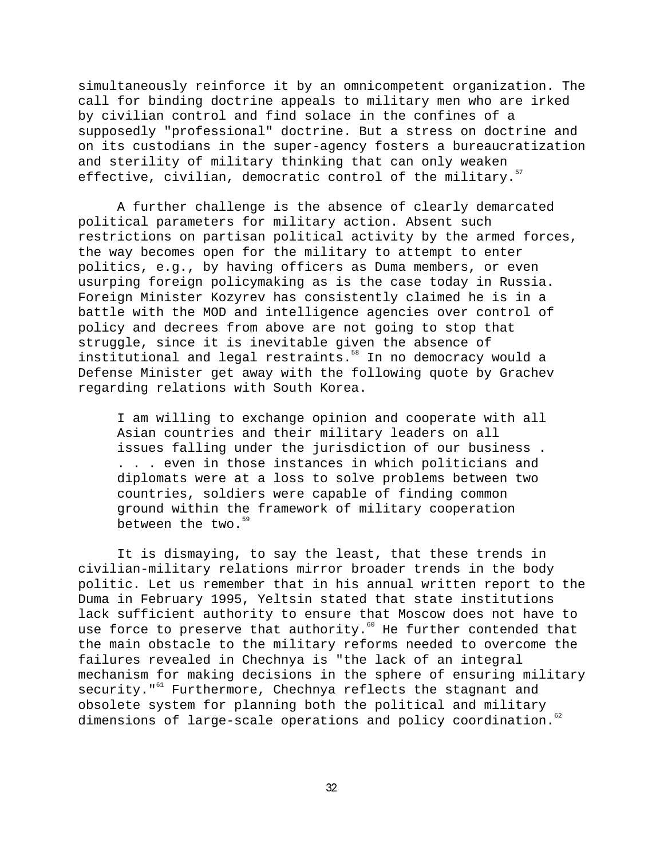simultaneously reinforce it by an omnicompetent organization. The call for binding doctrine appeals to military men who are irked by civilian control and find solace in the confines of a supposedly "professional" doctrine. But a stress on doctrine and on its custodians in the super-agency fosters a bureaucratization and sterility of military thinking that can only weaken effective, civilian, democratic control of the military.<sup>57</sup>

A further challenge is the absence of clearly demarcated political parameters for military action. Absent such restrictions on partisan political activity by the armed forces, the way becomes open for the military to attempt to enter politics, e.g., by having officers as Duma members, or even usurping foreign policymaking as is the case today in Russia. Foreign Minister Kozyrev has consistently claimed he is in a battle with the MOD and intelligence agencies over control of policy and decrees from above are not going to stop that struggle, since it is inevitable given the absence of institutional and legal restraints.<sup>58</sup> In no democracy would a Defense Minister get away with the following quote by Grachev regarding relations with South Korea.

I am willing to exchange opinion and cooperate with all Asian countries and their military leaders on all issues falling under the jurisdiction of our business . . . . even in those instances in which politicians and diplomats were at a loss to solve problems between two countries, soldiers were capable of finding common ground within the framework of military cooperation between the two.<sup>59</sup>

It is dismaying, to say the least, that these trends in civilian-military relations mirror broader trends in the body politic. Let us remember that in his annual written report to the Duma in February 1995, Yeltsin stated that state institutions lack sufficient authority to ensure that Moscow does not have to use force to preserve that authority.<sup>60</sup> He further contended that the main obstacle to the military reforms needed to overcome the failures revealed in Chechnya is "the lack of an integral mechanism for making decisions in the sphere of ensuring military security."<sup>61</sup> Furthermore, Chechnya reflects the stagnant and obsolete system for planning both the political and military dimensions of large-scale operations and policy coordination.<sup>62</sup>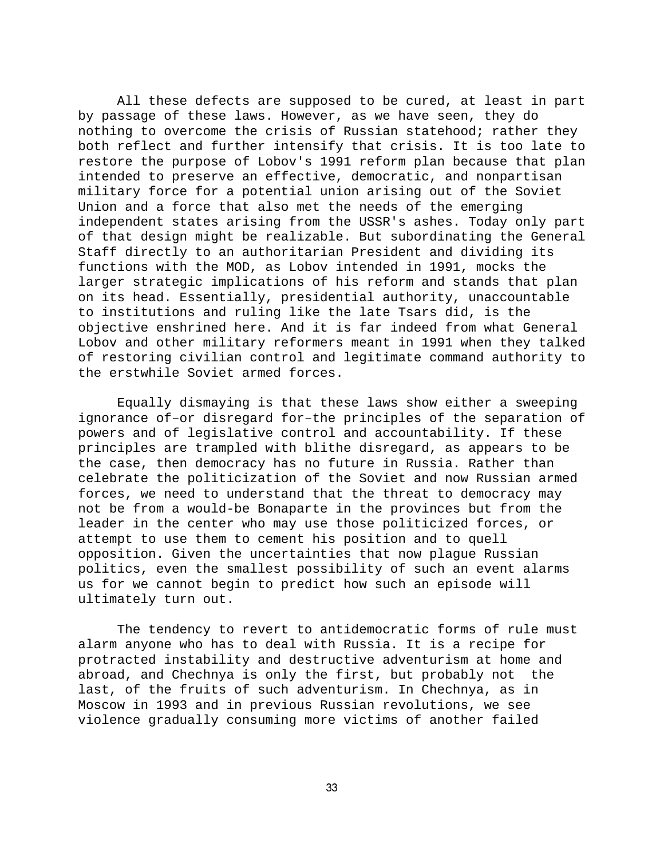All these defects are supposed to be cured, at least in part by passage of these laws. However, as we have seen, they do nothing to overcome the crisis of Russian statehood; rather they both reflect and further intensify that crisis. It is too late to restore the purpose of Lobov's 1991 reform plan because that plan intended to preserve an effective, democratic, and nonpartisan military force for a potential union arising out of the Soviet Union and a force that also met the needs of the emerging independent states arising from the USSR's ashes. Today only part of that design might be realizable. But subordinating the General Staff directly to an authoritarian President and dividing its functions with the MOD, as Lobov intended in 1991, mocks the larger strategic implications of his reform and stands that plan on its head. Essentially, presidential authority, unaccountable to institutions and ruling like the late Tsars did, is the objective enshrined here. And it is far indeed from what General Lobov and other military reformers meant in 1991 when they talked of restoring civilian control and legitimate command authority to the erstwhile Soviet armed forces.

Equally dismaying is that these laws show either a sweeping ignorance of–or disregard for–the principles of the separation of powers and of legislative control and accountability. If these principles are trampled with blithe disregard, as appears to be the case, then democracy has no future in Russia. Rather than celebrate the politicization of the Soviet and now Russian armed forces, we need to understand that the threat to democracy may not be from a would-be Bonaparte in the provinces but from the leader in the center who may use those politicized forces, or attempt to use them to cement his position and to quell opposition. Given the uncertainties that now plague Russian politics, even the smallest possibility of such an event alarms us for we cannot begin to predict how such an episode will ultimately turn out.

The tendency to revert to antidemocratic forms of rule must alarm anyone who has to deal with Russia. It is a recipe for protracted instability and destructive adventurism at home and abroad, and Chechnya is only the first, but probably not the last, of the fruits of such adventurism. In Chechnya, as in Moscow in 1993 and in previous Russian revolutions, we see violence gradually consuming more victims of another failed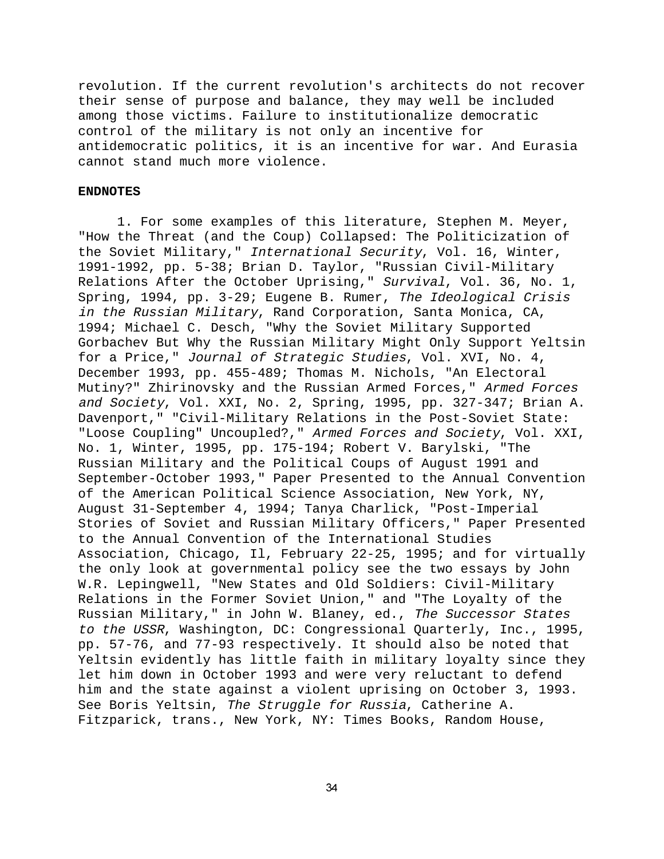revolution. If the current revolution's architects do not recover their sense of purpose and balance, they may well be included among those victims. Failure to institutionalize democratic control of the military is not only an incentive for antidemocratic politics, it is an incentive for war. And Eurasia cannot stand much more violence.

#### **ENDNOTES**

1. For some examples of this literature, Stephen M. Meyer, "How the Threat (and the Coup) Collapsed: The Politicization of the Soviet Military," International Security, Vol. 16, Winter, 1991-1992, pp. 5-38; Brian D. Taylor, "Russian Civil-Military Relations After the October Uprising," Survival, Vol. 36, No. 1, Spring, 1994, pp. 3-29; Eugene B. Rumer, The Ideological Crisis in the Russian Military, Rand Corporation, Santa Monica, CA, 1994; Michael C. Desch, "Why the Soviet Military Supported Gorbachev But Why the Russian Military Might Only Support Yeltsin for a Price," Journal of Strategic Studies, Vol. XVI, No. 4, December 1993, pp. 455-489; Thomas M. Nichols, "An Electoral Mutiny?" Zhirinovsky and the Russian Armed Forces," Armed Forces and Society, Vol. XXI, No. 2, Spring, 1995, pp. 327-347; Brian A. Davenport," "Civil-Military Relations in the Post-Soviet State: "Loose Coupling" Uncoupled?," Armed Forces and Society, Vol. XXI, No. 1, Winter, 1995, pp. 175-194; Robert V. Barylski, "The Russian Military and the Political Coups of August 1991 and September-October 1993," Paper Presented to the Annual Convention of the American Political Science Association, New York, NY, August 31-September 4, 1994; Tanya Charlick, "Post-Imperial Stories of Soviet and Russian Military Officers," Paper Presented to the Annual Convention of the International Studies Association, Chicago, Il, February 22-25, 1995; and for virtually the only look at governmental policy see the two essays by John W.R. Lepingwell, "New States and Old Soldiers: Civil-Military Relations in the Former Soviet Union," and "The Loyalty of the Russian Military," in John W. Blaney, ed., The Successor States to the USSR, Washington, DC: Congressional Quarterly, Inc., 1995, pp. 57-76, and 77-93 respectively. It should also be noted that Yeltsin evidently has little faith in military loyalty since they let him down in October 1993 and were very reluctant to defend him and the state against a violent uprising on October 3, 1993. See Boris Yeltsin, The Struggle for Russia, Catherine A. Fitzparick, trans., New York, NY: Times Books, Random House,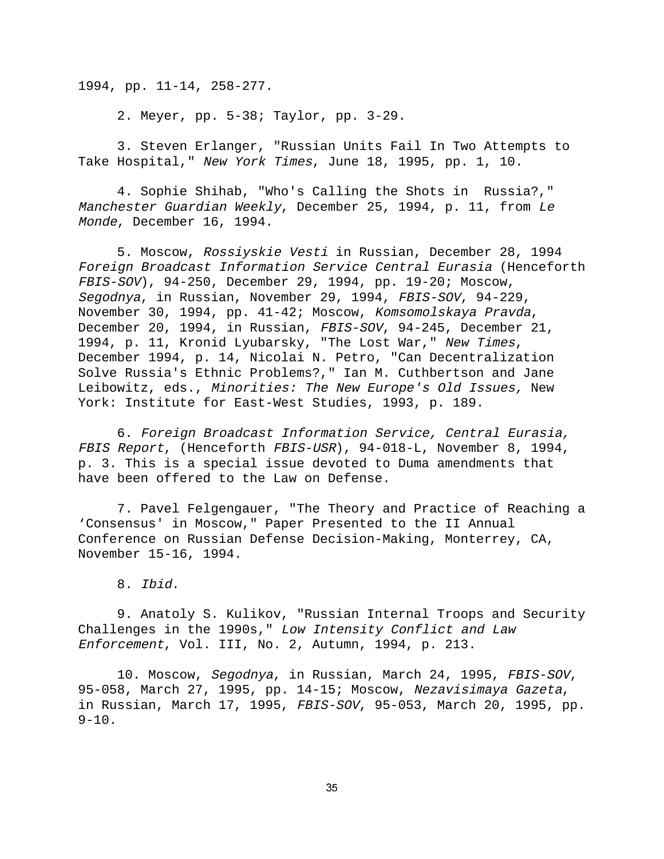1994, pp. 11-14, 258-277.

2. Meyer, pp. 5-38; Taylor, pp. 3-29.

3. Steven Erlanger, "Russian Units Fail In Two Attempts to Take Hospital," New York Times, June 18, 1995, pp. 1, 10.

4. Sophie Shihab, "Who's Calling the Shots in Russia?," Manchester Guardian Weekly, December 25, 1994, p. 11, from Le Monde, December 16, 1994.

5. Moscow, Rossiyskie Vesti in Russian, December 28, 1994 Foreign Broadcast Information Service Central Eurasia (Henceforth FBIS-SOV), 94-250, December 29, 1994, pp. 19-20; Moscow, Segodnya, in Russian, November 29, 1994, FBIS-SOV, 94-229, November 30, 1994, pp. 41-42; Moscow, Komsomolskaya Pravda, December 20, 1994, in Russian, FBIS-SOV, 94-245, December 21, 1994, p. 11, Kronid Lyubarsky, "The Lost War," New Times, December 1994, p. 14, Nicolai N. Petro, "Can Decentralization Solve Russia's Ethnic Problems?," Ian M. Cuthbertson and Jane Leibowitz, eds., Minorities: The New Europe's Old Issues, New York: Institute for East-West Studies, 1993, p. 189.

6. Foreign Broadcast Information Service, Central Eurasia, FBIS Report, (Henceforth FBIS-USR), 94-018-L, November 8, 1994, p. 3. This is a special issue devoted to Duma amendments that have been offered to the Law on Defense.

7. Pavel Felgengauer, "The Theory and Practice of Reaching a 'Consensus' in Moscow," Paper Presented to the II Annual Conference on Russian Defense Decision-Making, Monterrey, CA, November 15-16, 1994.

8. Ibid.

9. Anatoly S. Kulikov, "Russian Internal Troops and Security Challenges in the 1990s," Low Intensity Conflict and Law Enforcement, Vol. III, No. 2, Autumn, 1994, p. 213.

10. Moscow, Segodnya, in Russian, March 24, 1995, FBIS-SOV, 95-058, March 27, 1995, pp. 14-15; Moscow, Nezavisimaya Gazeta, in Russian, March 17, 1995, FBIS-SOV, 95-053, March 20, 1995, pp.  $9-10.$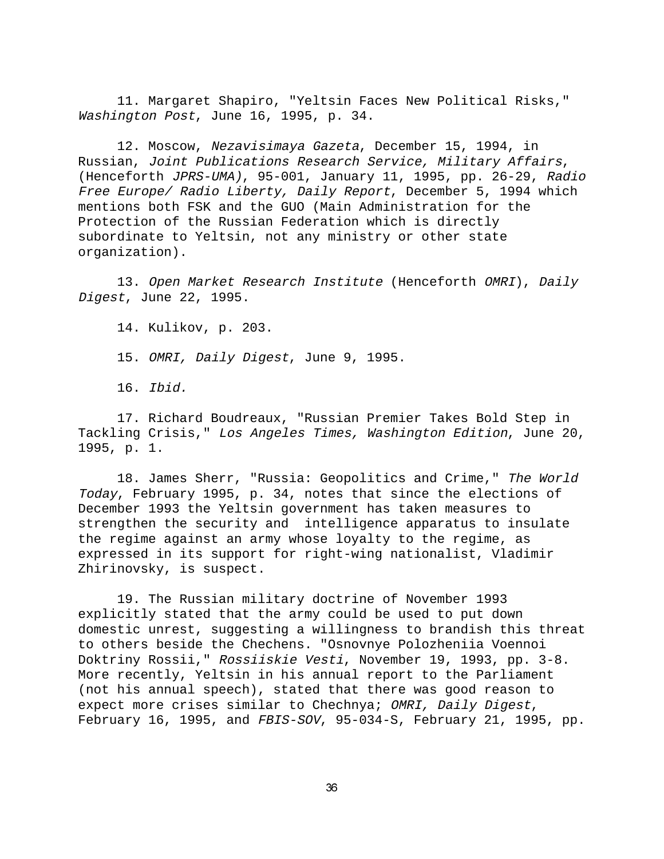11. Margaret Shapiro, "Yeltsin Faces New Political Risks," Washington Post, June 16, 1995, p. 34.

12. Moscow, Nezavisimaya Gazeta, December 15, 1994, in Russian, Joint Publications Research Service, Military Affairs, (Henceforth JPRS-UMA), 95-001, January 11, 1995, pp. 26-29, Radio Free Europe/ Radio Liberty, Daily Report, December 5, 1994 which mentions both FSK and the GUO (Main Administration for the Protection of the Russian Federation which is directly subordinate to Yeltsin, not any ministry or other state organization).

13. Open Market Research Institute (Henceforth OMRI), Daily Digest, June 22, 1995.

14. Kulikov, p. 203.

15. OMRI, Daily Digest, June 9, 1995.

16. Ibid.

17. Richard Boudreaux, "Russian Premier Takes Bold Step in Tackling Crisis," Los Angeles Times, Washington Edition, June 20, 1995, p. 1.

18. James Sherr, "Russia: Geopolitics and Crime," The World Today, February 1995, p. 34, notes that since the elections of December 1993 the Yeltsin government has taken measures to strengthen the security and intelligence apparatus to insulate the regime against an army whose loyalty to the regime, as expressed in its support for right-wing nationalist, Vladimir Zhirinovsky, is suspect.

19. The Russian military doctrine of November 1993 explicitly stated that the army could be used to put down domestic unrest, suggesting a willingness to brandish this threat to others beside the Chechens. "Osnovnye Polozheniia Voennoi Doktriny Rossii," Rossiiskie Vesti, November 19, 1993, pp. 3-8. More recently, Yeltsin in his annual report to the Parliament (not his annual speech), stated that there was good reason to expect more crises similar to Chechnya; OMRI, Daily Digest, February 16, 1995, and FBIS-SOV, 95-034-S, February 21, 1995, pp.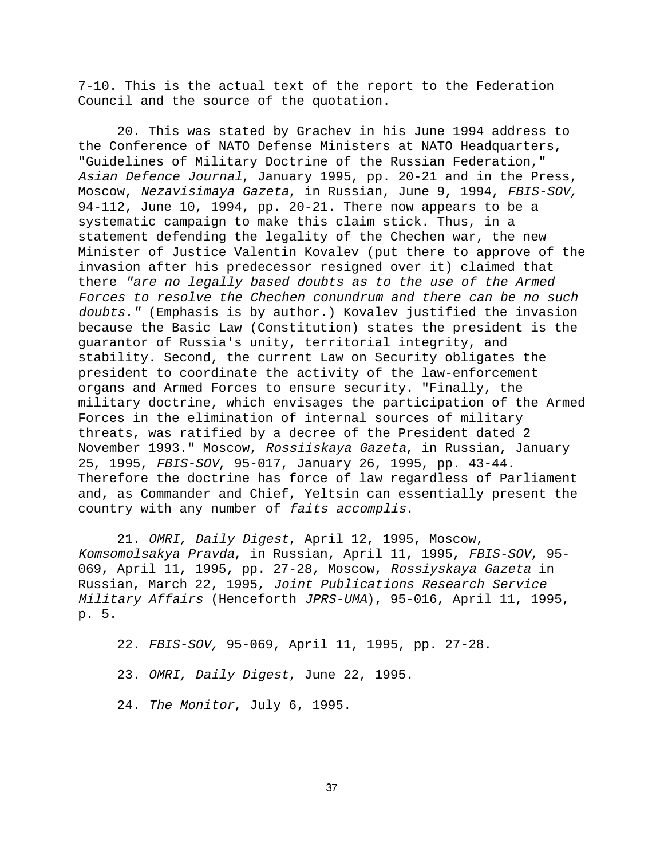7-10. This is the actual text of the report to the Federation Council and the source of the quotation.

20. This was stated by Grachev in his June 1994 address to the Conference of NATO Defense Ministers at NATO Headquarters, "Guidelines of Military Doctrine of the Russian Federation," Asian Defence Journal, January 1995, pp. 20-21 and in the Press, Moscow, Nezavisimaya Gazeta, in Russian, June 9, 1994, FBIS-SOV, 94-112, June 10, 1994, pp. 20-21. There now appears to be a systematic campaign to make this claim stick. Thus, in a statement defending the legality of the Chechen war, the new Minister of Justice Valentin Kovalev (put there to approve of the invasion after his predecessor resigned over it) claimed that there "are no legally based doubts as to the use of the Armed Forces to resolve the Chechen conundrum and there can be no such doubts." (Emphasis is by author.) Kovalev justified the invasion because the Basic Law (Constitution) states the president is the guarantor of Russia's unity, territorial integrity, and stability. Second, the current Law on Security obligates the president to coordinate the activity of the law-enforcement organs and Armed Forces to ensure security. "Finally, the military doctrine, which envisages the participation of the Armed Forces in the elimination of internal sources of military threats, was ratified by a decree of the President dated 2 November 1993." Moscow, Rossiiskaya Gazeta, in Russian, January 25, 1995, FBIS-SOV, 95-017, January 26, 1995, pp. 43-44. Therefore the doctrine has force of law regardless of Parliament and, as Commander and Chief, Yeltsin can essentially present the country with any number of faits accomplis.

21. OMRI, Daily Digest, April 12, 1995, Moscow, Komsomolsakya Pravda, in Russian, April 11, 1995, FBIS-SOV, 95- 069, April 11, 1995, pp. 27-28, Moscow, Rossiyskaya Gazeta in Russian, March 22, 1995, Joint Publications Research Service Military Affairs (Henceforth JPRS-UMA), 95-016, April 11, 1995, p. 5.

22. FBIS-SOV, 95-069, April 11, 1995, pp. 27-28.

23. OMRI, Daily Digest, June 22, 1995.

24. The Monitor, July 6, 1995.

37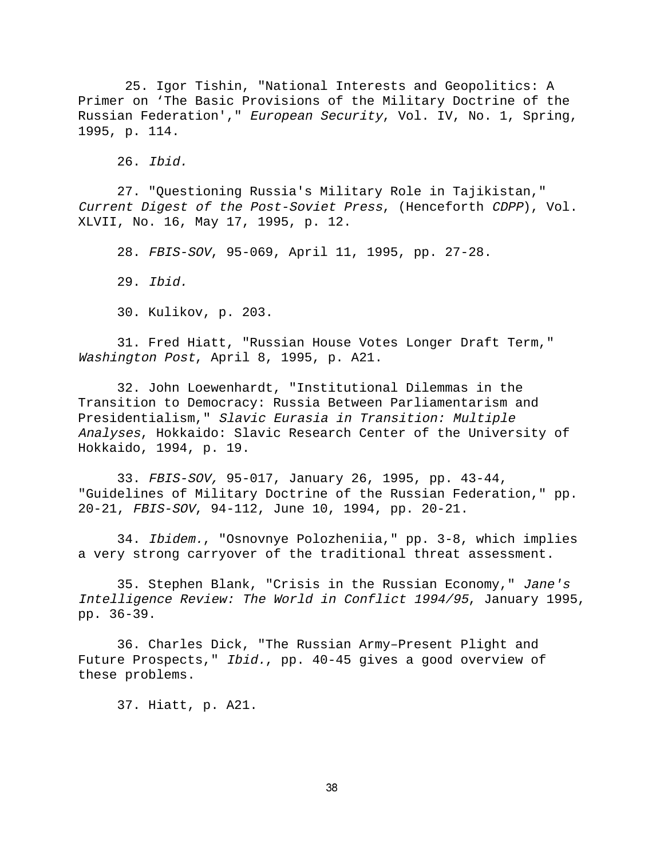25. Igor Tishin, "National Interests and Geopolitics: A Primer on 'The Basic Provisions of the Military Doctrine of the Russian Federation'," European Security, Vol. IV, No. 1, Spring, 1995, p. 114.

26. Ibid.

27. "Questioning Russia's Military Role in Tajikistan," Current Digest of the Post-Soviet Press, (Henceforth CDPP), Vol. XLVII, No. 16, May 17, 1995, p. 12.

28. FBIS-SOV, 95-069, April 11, 1995, pp. 27-28.

29. Ibid.

30. Kulikov, p. 203.

31. Fred Hiatt, "Russian House Votes Longer Draft Term," Washington Post, April 8, 1995, p. A21.

32. John Loewenhardt, "Institutional Dilemmas in the Transition to Democracy: Russia Between Parliamentarism and Presidentialism," Slavic Eurasia in Transition: Multiple Analyses, Hokkaido: Slavic Research Center of the University of Hokkaido, 1994, p. 19.

33. FBIS-SOV, 95-017, January 26, 1995, pp. 43-44, "Guidelines of Military Doctrine of the Russian Federation," pp. 20-21, FBIS-SOV, 94-112, June 10, 1994, pp. 20-21.

34. Ibidem., "Osnovnye Polozheniia," pp. 3-8, which implies a very strong carryover of the traditional threat assessment.

35. Stephen Blank, "Crisis in the Russian Economy," Jane's Intelligence Review: The World in Conflict 1994/95, January 1995, pp. 36-39.

36. Charles Dick, "The Russian Army–Present Plight and Future Prospects," Ibid., pp. 40-45 gives a good overview of these problems.

37. Hiatt, p. A21.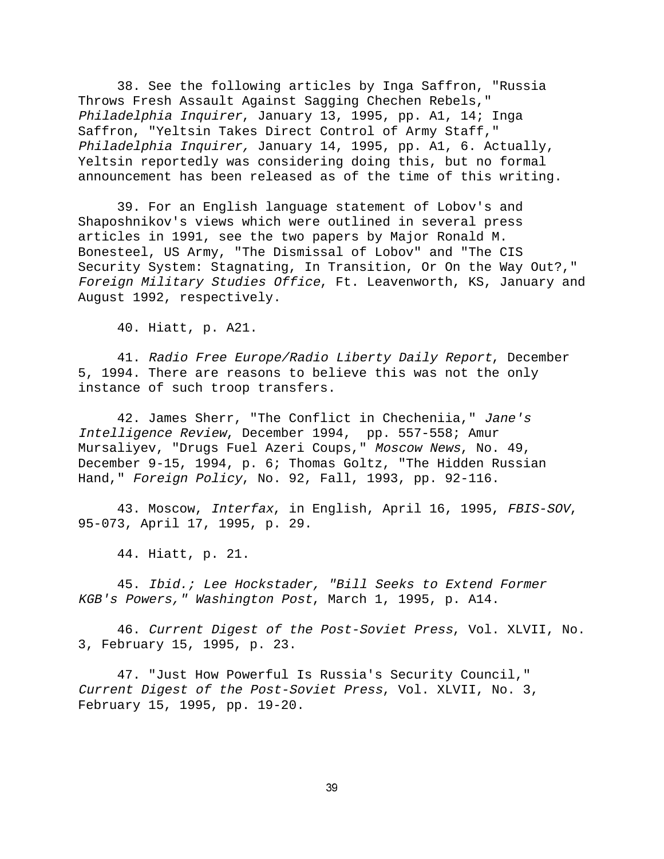38. See the following articles by Inga Saffron, "Russia Throws Fresh Assault Against Sagging Chechen Rebels," Philadelphia Inquirer, January 13, 1995, pp. A1, 14; Inga Saffron, "Yeltsin Takes Direct Control of Army Staff," Philadelphia Inquirer, January 14, 1995, pp. A1, 6. Actually, Yeltsin reportedly was considering doing this, but no formal announcement has been released as of the time of this writing.

39. For an English language statement of Lobov's and Shaposhnikov's views which were outlined in several press articles in 1991, see the two papers by Major Ronald M. Bonesteel, US Army, "The Dismissal of Lobov" and "The CIS Security System: Stagnating, In Transition, Or On the Way Out?," Foreign Military Studies Office, Ft. Leavenworth, KS, January and August 1992, respectively.

40. Hiatt, p. A21.

41. Radio Free Europe/Radio Liberty Daily Report, December 5, 1994. There are reasons to believe this was not the only instance of such troop transfers.

42. James Sherr, "The Conflict in Checheniia," Jane's Intelligence Review, December 1994, pp. 557-558; Amur Mursaliyev, "Drugs Fuel Azeri Coups," Moscow News, No. 49, December 9-15, 1994, p. 6; Thomas Goltz, "The Hidden Russian Hand," Foreign Policy, No. 92, Fall, 1993, pp. 92-116.

43. Moscow, Interfax, in English, April 16, 1995, FBIS-SOV, 95-073, April 17, 1995, p. 29.

44. Hiatt, p. 21.

45. Ibid.; Lee Hockstader, "Bill Seeks to Extend Former KGB's Powers," Washington Post, March 1, 1995, p. A14.

46. Current Digest of the Post-Soviet Press, Vol. XLVII, No. 3, February 15, 1995, p. 23.

47. "Just How Powerful Is Russia's Security Council," Current Digest of the Post-Soviet Press, Vol. XLVII, No. 3, February 15, 1995, pp. 19-20.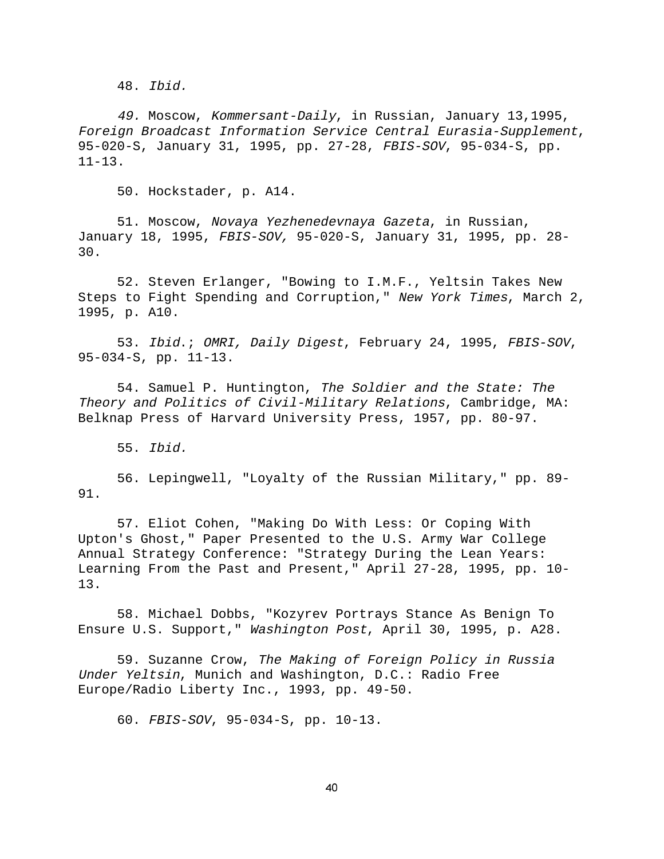48. Ibid.

49. Moscow, Kommersant-Daily, in Russian, January 13,1995, Foreign Broadcast Information Service Central Eurasia-Supplement, 95-020-S, January 31, 1995, pp. 27-28, FBIS-SOV, 95-034-S, pp. 11-13.

50. Hockstader, p. A14.

51. Moscow, Novaya Yezhenedevnaya Gazeta, in Russian, January 18, 1995, FBIS-SOV, 95-020-S, January 31, 1995, pp. 28- 30.

52. Steven Erlanger, "Bowing to I.M.F., Yeltsin Takes New Steps to Fight Spending and Corruption," New York Times, March 2, 1995, p. A10.

53. Ibid.; OMRI, Daily Digest, February 24, 1995, FBIS-SOV, 95-034-S, pp. 11-13.

54. Samuel P. Huntington, The Soldier and the State: The Theory and Politics of Civil-Military Relations, Cambridge, MA: Belknap Press of Harvard University Press, 1957, pp. 80-97.

55. Ibid.

56. Lepingwell, "Loyalty of the Russian Military," pp. 89- 91.

57. Eliot Cohen, "Making Do With Less: Or Coping With Upton's Ghost," Paper Presented to the U.S. Army War College Annual Strategy Conference: "Strategy During the Lean Years: Learning From the Past and Present," April 27-28, 1995, pp. 10- 13.

58. Michael Dobbs, "Kozyrev Portrays Stance As Benign To Ensure U.S. Support," Washington Post, April 30, 1995, p. A28.

59. Suzanne Crow, The Making of Foreign Policy in Russia Under Yeltsin, Munich and Washington, D.C.: Radio Free Europe/Radio Liberty Inc., 1993, pp. 49-50.

60. FBIS-SOV, 95-034-S, pp. 10-13.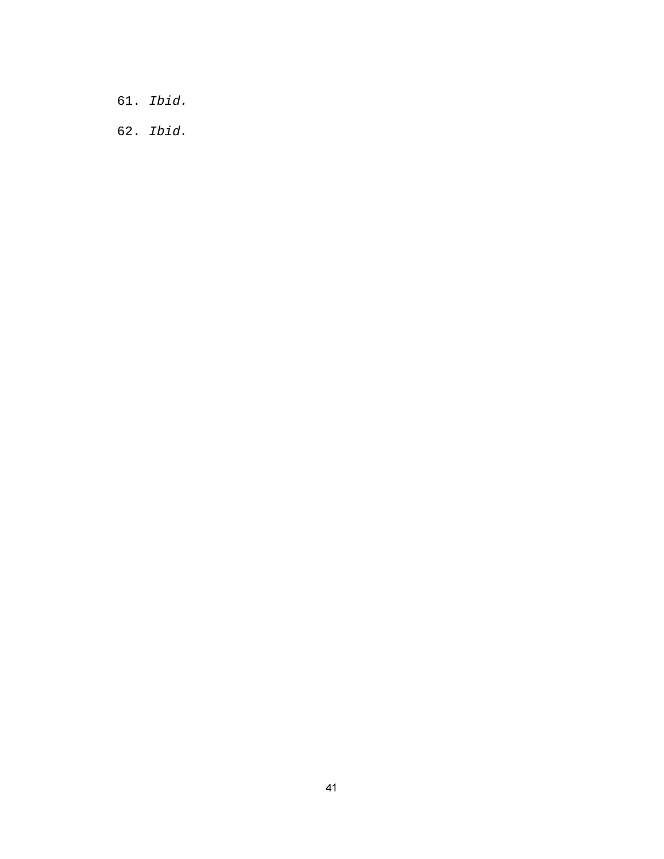- 61. Ibid.
- 62. Ibid.